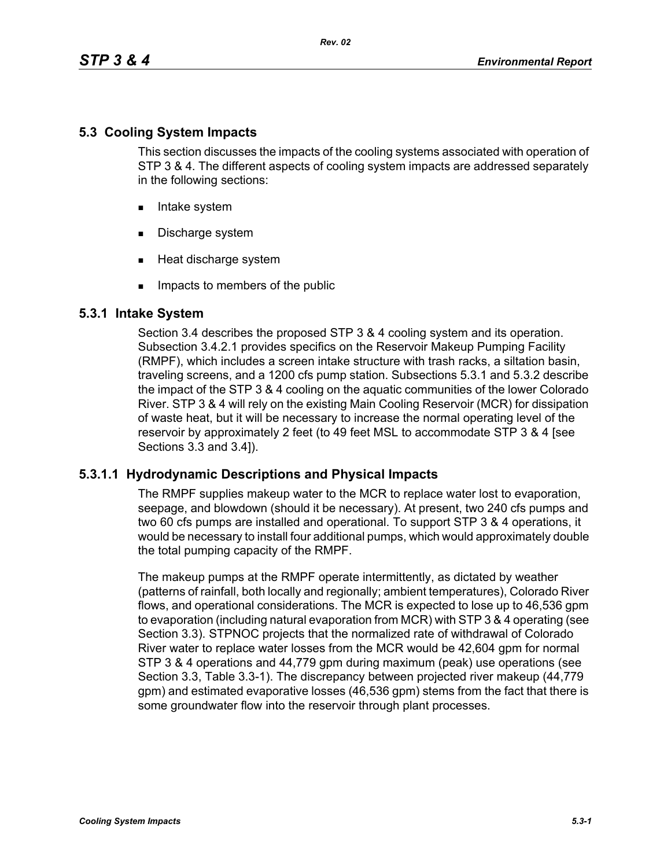# **5.3 Cooling System Impacts**

This section discusses the impacts of the cooling systems associated with operation of STP 3 & 4. The different aspects of cooling system impacts are addressed separately in the following sections:

- **Intake system**
- Discharge system
- **Heat discharge system**
- **IMPACTE THE MEMBER IMPACT** Impacts to members of the public

# **5.3.1 Intake System**

Section 3.4 describes the proposed STP 3 & 4 cooling system and its operation. Subsection 3.4.2.1 provides specifics on the Reservoir Makeup Pumping Facility (RMPF), which includes a screen intake structure with trash racks, a siltation basin, traveling screens, and a 1200 cfs pump station. Subsections 5.3.1 and 5.3.2 describe the impact of the STP 3 & 4 cooling on the aquatic communities of the lower Colorado River. STP 3 & 4 will rely on the existing Main Cooling Reservoir (MCR) for dissipation of waste heat, but it will be necessary to increase the normal operating level of the reservoir by approximately 2 feet (to 49 feet MSL to accommodate STP 3 & 4 [see Sections 3.3 and 3.4]).

# **5.3.1.1 Hydrodynamic Descriptions and Physical Impacts**

The RMPF supplies makeup water to the MCR to replace water lost to evaporation, seepage, and blowdown (should it be necessary). At present, two 240 cfs pumps and two 60 cfs pumps are installed and operational. To support STP 3 & 4 operations, it would be necessary to install four additional pumps, which would approximately double the total pumping capacity of the RMPF.

The makeup pumps at the RMPF operate intermittently, as dictated by weather (patterns of rainfall, both locally and regionally; ambient temperatures), Colorado River flows, and operational considerations. The MCR is expected to lose up to 46,536 gpm to evaporation (including natural evaporation from MCR) with STP 3 & 4 operating (see Section 3.3). STPNOC projects that the normalized rate of withdrawal of Colorado River water to replace water losses from the MCR would be 42,604 gpm for normal STP 3 & 4 operations and 44,779 gpm during maximum (peak) use operations (see Section 3.3, Table 3.3-1). The discrepancy between projected river makeup (44,779 gpm) and estimated evaporative losses (46,536 gpm) stems from the fact that there is some groundwater flow into the reservoir through plant processes.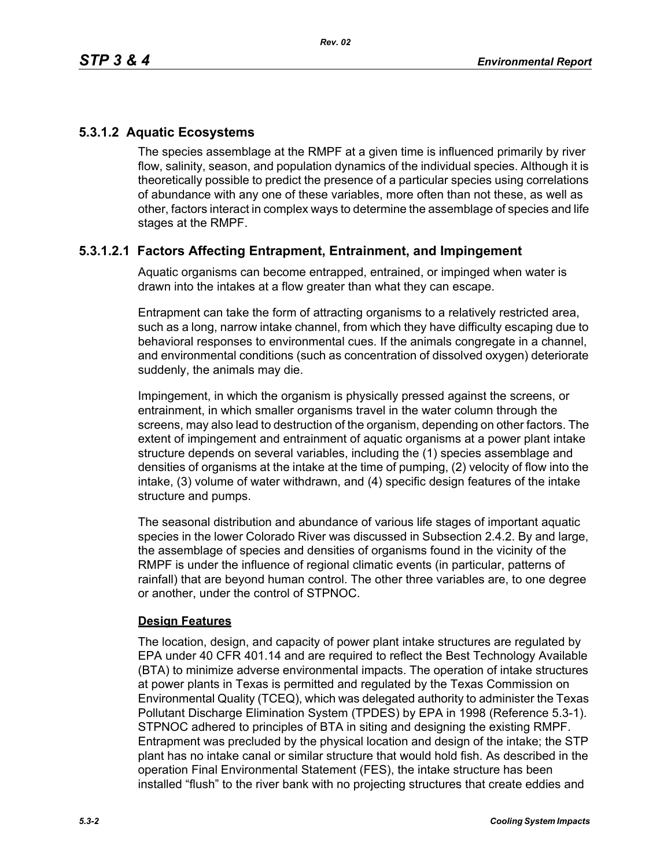# **5.3.1.2 Aquatic Ecosystems**

The species assemblage at the RMPF at a given time is influenced primarily by river flow, salinity, season, and population dynamics of the individual species. Although it is theoretically possible to predict the presence of a particular species using correlations of abundance with any one of these variables, more often than not these, as well as other, factors interact in complex ways to determine the assemblage of species and life stages at the RMPF.

# **5.3.1.2.1 Factors Affecting Entrapment, Entrainment, and Impingement**

Aquatic organisms can become entrapped, entrained, or impinged when water is drawn into the intakes at a flow greater than what they can escape.

Entrapment can take the form of attracting organisms to a relatively restricted area, such as a long, narrow intake channel, from which they have difficulty escaping due to behavioral responses to environmental cues. If the animals congregate in a channel, and environmental conditions (such as concentration of dissolved oxygen) deteriorate suddenly, the animals may die.

Impingement, in which the organism is physically pressed against the screens, or entrainment, in which smaller organisms travel in the water column through the screens, may also lead to destruction of the organism, depending on other factors. The extent of impingement and entrainment of aquatic organisms at a power plant intake structure depends on several variables, including the (1) species assemblage and densities of organisms at the intake at the time of pumping, (2) velocity of flow into the intake, (3) volume of water withdrawn, and (4) specific design features of the intake structure and pumps.

The seasonal distribution and abundance of various life stages of important aquatic species in the lower Colorado River was discussed in Subsection 2.4.2. By and large, the assemblage of species and densities of organisms found in the vicinity of the RMPF is under the influence of regional climatic events (in particular, patterns of rainfall) that are beyond human control. The other three variables are, to one degree or another, under the control of STPNOC.

## **Design Features**

The location, design, and capacity of power plant intake structures are regulated by EPA under 40 CFR 401.14 and are required to reflect the Best Technology Available (BTA) to minimize adverse environmental impacts. The operation of intake structures at power plants in Texas is permitted and regulated by the Texas Commission on Environmental Quality (TCEQ), which was delegated authority to administer the Texas Pollutant Discharge Elimination System (TPDES) by EPA in 1998 (Reference 5.3-1). STPNOC adhered to principles of BTA in siting and designing the existing RMPF. Entrapment was precluded by the physical location and design of the intake; the STP plant has no intake canal or similar structure that would hold fish. As described in the operation Final Environmental Statement (FES), the intake structure has been installed "flush" to the river bank with no projecting structures that create eddies and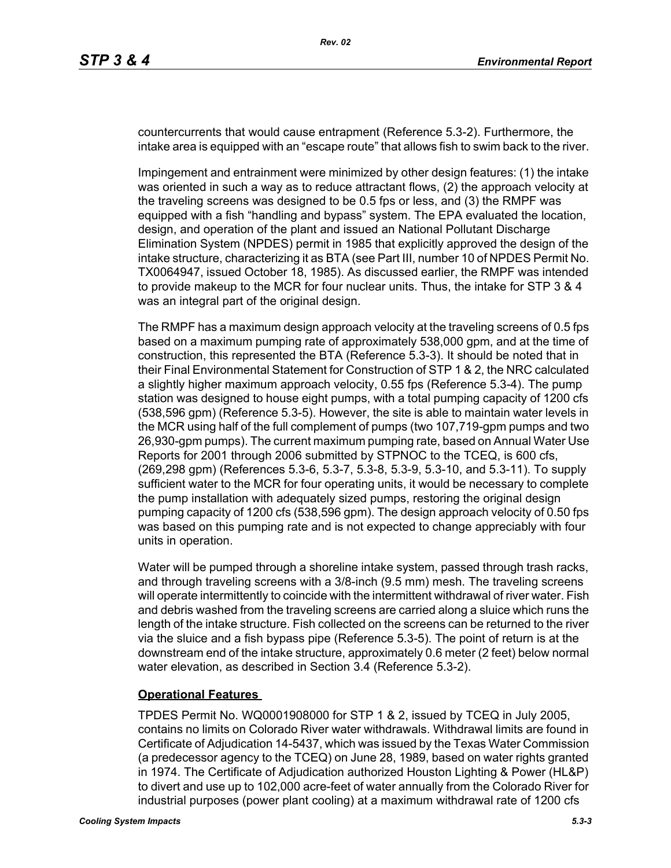countercurrents that would cause entrapment (Reference 5.3-2). Furthermore, the intake area is equipped with an "escape route" that allows fish to swim back to the river.

Impingement and entrainment were minimized by other design features: (1) the intake was oriented in such a way as to reduce attractant flows, (2) the approach velocity at the traveling screens was designed to be 0.5 fps or less, and (3) the RMPF was equipped with a fish "handling and bypass" system. The EPA evaluated the location, design, and operation of the plant and issued an National Pollutant Discharge Elimination System (NPDES) permit in 1985 that explicitly approved the design of the intake structure, characterizing it as BTA (see Part III, number 10 of NPDES Permit No. TX0064947, issued October 18, 1985). As discussed earlier, the RMPF was intended to provide makeup to the MCR for four nuclear units. Thus, the intake for STP 3 & 4 was an integral part of the original design.

The RMPF has a maximum design approach velocity at the traveling screens of 0.5 fps based on a maximum pumping rate of approximately 538,000 gpm, and at the time of construction, this represented the BTA (Reference 5.3-3). It should be noted that in their Final Environmental Statement for Construction of STP 1 & 2, the NRC calculated a slightly higher maximum approach velocity, 0.55 fps (Reference 5.3-4). The pump station was designed to house eight pumps, with a total pumping capacity of 1200 cfs (538,596 gpm) (Reference 5.3-5). However, the site is able to maintain water levels in the MCR using half of the full complement of pumps (two 107,719-gpm pumps and two 26,930-gpm pumps). The current maximum pumping rate, based on Annual Water Use Reports for 2001 through 2006 submitted by STPNOC to the TCEQ, is 600 cfs, (269,298 gpm) (References 5.3-6, 5.3-7, 5.3-8, 5.3-9, 5.3-10, and 5.3-11). To supply sufficient water to the MCR for four operating units, it would be necessary to complete the pump installation with adequately sized pumps, restoring the original design pumping capacity of 1200 cfs (538,596 gpm). The design approach velocity of 0.50 fps was based on this pumping rate and is not expected to change appreciably with four units in operation.

Water will be pumped through a shoreline intake system, passed through trash racks, and through traveling screens with a 3/8-inch (9.5 mm) mesh. The traveling screens will operate intermittently to coincide with the intermittent withdrawal of river water. Fish and debris washed from the traveling screens are carried along a sluice which runs the length of the intake structure. Fish collected on the screens can be returned to the river via the sluice and a fish bypass pipe (Reference 5.3-5). The point of return is at the downstream end of the intake structure, approximately 0.6 meter (2 feet) below normal water elevation, as described in Section 3.4 (Reference 5.3-2).

## **Operational Features**

TPDES Permit No. WQ0001908000 for STP 1 & 2, issued by TCEQ in July 2005, contains no limits on Colorado River water withdrawals. Withdrawal limits are found in Certificate of Adjudication 14-5437, which was issued by the Texas Water Commission (a predecessor agency to the TCEQ) on June 28, 1989, based on water rights granted in 1974. The Certificate of Adjudication authorized Houston Lighting & Power (HL&P) to divert and use up to 102,000 acre-feet of water annually from the Colorado River for industrial purposes (power plant cooling) at a maximum withdrawal rate of 1200 cfs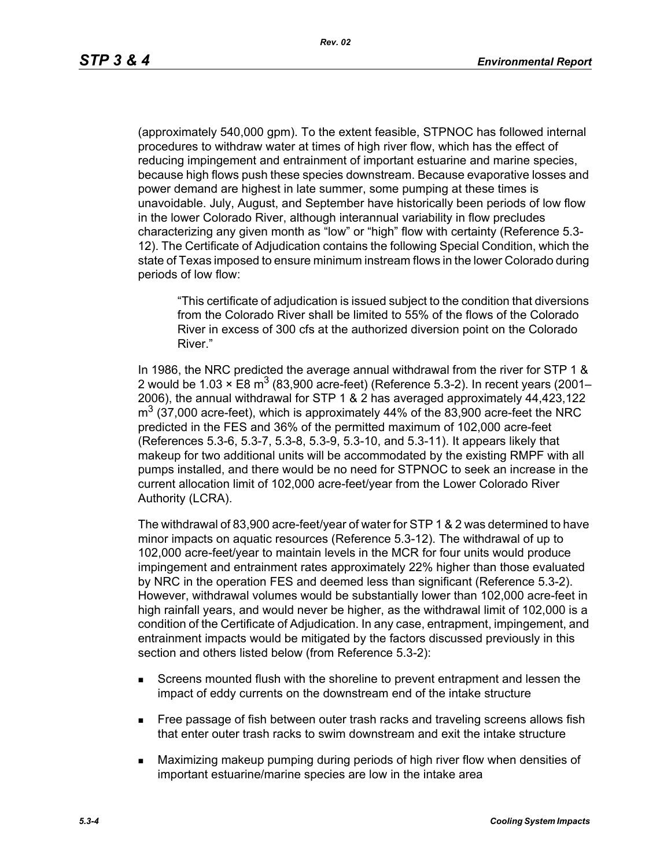(approximately 540,000 gpm). To the extent feasible, STPNOC has followed internal procedures to withdraw water at times of high river flow, which has the effect of reducing impingement and entrainment of important estuarine and marine species, because high flows push these species downstream. Because evaporative losses and power demand are highest in late summer, some pumping at these times is unavoidable. July, August, and September have historically been periods of low flow in the lower Colorado River, although interannual variability in flow precludes characterizing any given month as "low" or "high" flow with certainty (Reference 5.3- 12). The Certificate of Adjudication contains the following Special Condition, which the state of Texas imposed to ensure minimum instream flows in the lower Colorado during periods of low flow:

"This certificate of adjudication is issued subject to the condition that diversions from the Colorado River shall be limited to 55% of the flows of the Colorado River in excess of 300 cfs at the authorized diversion point on the Colorado River."

In 1986, the NRC predicted the average annual withdrawal from the river for STP 1 & 2 would be 1.03  $\times$  E8 m<sup>3</sup> (83,900 acre-feet) (Reference 5.3-2). In recent years (2001– 2006), the annual withdrawal for STP 1 & 2 has averaged approximately 44,423,122  $\text{m}^3$  (37,000 acre-feet), which is approximately 44% of the 83,900 acre-feet the NRC predicted in the FES and 36% of the permitted maximum of 102,000 acre-feet (References 5.3-6, 5.3-7, 5.3-8, 5.3-9, 5.3-10, and 5.3-11). It appears likely that makeup for two additional units will be accommodated by the existing RMPF with all pumps installed, and there would be no need for STPNOC to seek an increase in the current allocation limit of 102,000 acre-feet/year from the Lower Colorado River Authority (LCRA).

The withdrawal of 83,900 acre-feet/year of water for STP 1 & 2 was determined to have minor impacts on aquatic resources (Reference 5.3-12). The withdrawal of up to 102,000 acre-feet/year to maintain levels in the MCR for four units would produce impingement and entrainment rates approximately 22% higher than those evaluated by NRC in the operation FES and deemed less than significant (Reference 5.3-2). However, withdrawal volumes would be substantially lower than 102,000 acre-feet in high rainfall years, and would never be higher, as the withdrawal limit of 102,000 is a condition of the Certificate of Adjudication. In any case, entrapment, impingement, and entrainment impacts would be mitigated by the factors discussed previously in this section and others listed below (from Reference 5.3-2):

- Screens mounted flush with the shoreline to prevent entrapment and lessen the impact of eddy currents on the downstream end of the intake structure
- **Free passage of fish between outer trash racks and traveling screens allows fish** that enter outer trash racks to swim downstream and exit the intake structure
- Maximizing makeup pumping during periods of high river flow when densities of important estuarine/marine species are low in the intake area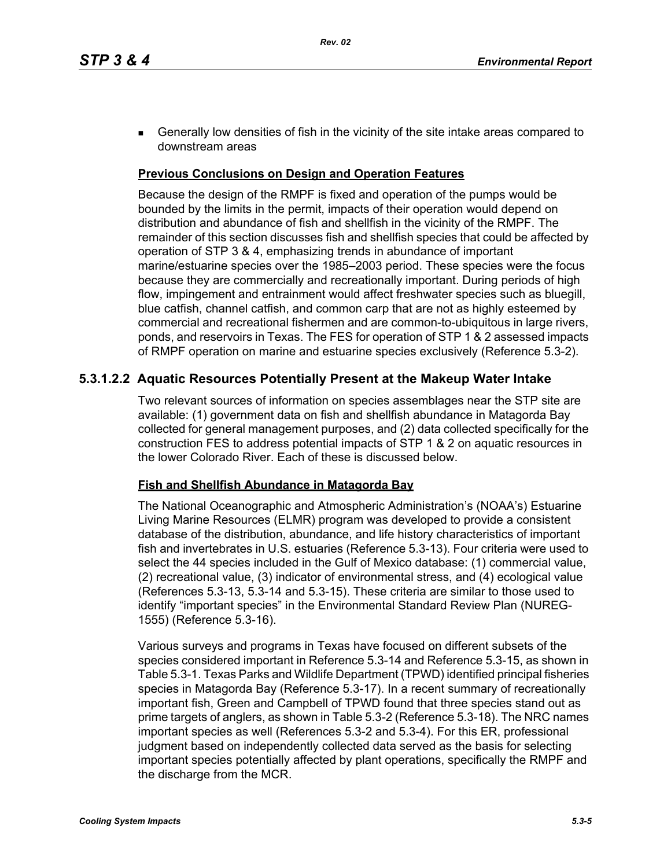**Generally low densities of fish in the vicinity of the site intake areas compared to** downstream areas

## **Previous Conclusions on Design and Operation Features**

Because the design of the RMPF is fixed and operation of the pumps would be bounded by the limits in the permit, impacts of their operation would depend on distribution and abundance of fish and shellfish in the vicinity of the RMPF. The remainder of this section discusses fish and shellfish species that could be affected by operation of STP 3 & 4, emphasizing trends in abundance of important marine/estuarine species over the 1985–2003 period. These species were the focus because they are commercially and recreationally important. During periods of high flow, impingement and entrainment would affect freshwater species such as bluegill, blue catfish, channel catfish, and common carp that are not as highly esteemed by commercial and recreational fishermen and are common-to-ubiquitous in large rivers, ponds, and reservoirs in Texas. The FES for operation of STP 1 & 2 assessed impacts of RMPF operation on marine and estuarine species exclusively (Reference 5.3-2).

## **5.3.1.2.2 Aquatic Resources Potentially Present at the Makeup Water Intake**

Two relevant sources of information on species assemblages near the STP site are available: (1) government data on fish and shellfish abundance in Matagorda Bay collected for general management purposes, and (2) data collected specifically for the construction FES to address potential impacts of STP 1 & 2 on aquatic resources in the lower Colorado River. Each of these is discussed below.

### **Fish and Shellfish Abundance in Matagorda Bay**

The National Oceanographic and Atmospheric Administration's (NOAA's) Estuarine Living Marine Resources (ELMR) program was developed to provide a consistent database of the distribution, abundance, and life history characteristics of important fish and invertebrates in U.S. estuaries (Reference 5.3-13). Four criteria were used to select the 44 species included in the Gulf of Mexico database: (1) commercial value, (2) recreational value, (3) indicator of environmental stress, and (4) ecological value (References 5.3-13, 5.3-14 and 5.3-15). These criteria are similar to those used to identify "important species" in the Environmental Standard Review Plan (NUREG-1555) (Reference 5.3-16).

Various surveys and programs in Texas have focused on different subsets of the species considered important in Reference 5.3-14 and Reference 5.3-15, as shown in Table 5.3-1. Texas Parks and Wildlife Department (TPWD) identified principal fisheries species in Matagorda Bay (Reference 5.3-17). In a recent summary of recreationally important fish, Green and Campbell of TPWD found that three species stand out as prime targets of anglers, as shown in Table 5.3-2 (Reference 5.3-18). The NRC names important species as well (References 5.3-2 and 5.3-4). For this ER, professional judgment based on independently collected data served as the basis for selecting important species potentially affected by plant operations, specifically the RMPF and the discharge from the MCR.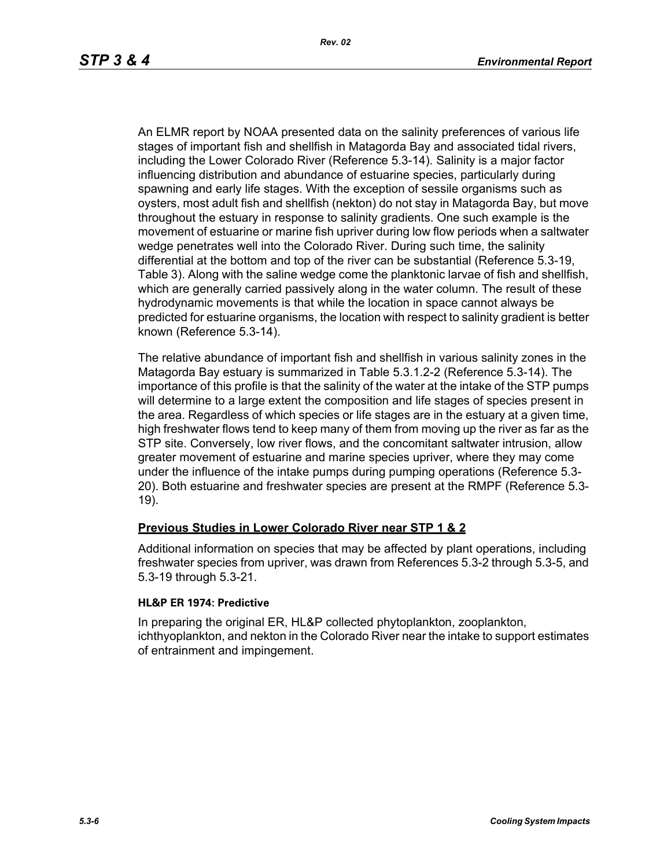An ELMR report by NOAA presented data on the salinity preferences of various life stages of important fish and shellfish in Matagorda Bay and associated tidal rivers, including the Lower Colorado River (Reference 5.3-14). Salinity is a major factor influencing distribution and abundance of estuarine species, particularly during spawning and early life stages. With the exception of sessile organisms such as oysters, most adult fish and shellfish (nekton) do not stay in Matagorda Bay, but move throughout the estuary in response to salinity gradients. One such example is the movement of estuarine or marine fish upriver during low flow periods when a saltwater wedge penetrates well into the Colorado River. During such time, the salinity differential at the bottom and top of the river can be substantial (Reference 5.3-19, Table 3). Along with the saline wedge come the planktonic larvae of fish and shellfish, which are generally carried passively along in the water column. The result of these hydrodynamic movements is that while the location in space cannot always be predicted for estuarine organisms, the location with respect to salinity gradient is better known (Reference 5.3-14).

The relative abundance of important fish and shellfish in various salinity zones in the Matagorda Bay estuary is summarized in Table 5.3.1.2-2 (Reference 5.3-14). The importance of this profile is that the salinity of the water at the intake of the STP pumps will determine to a large extent the composition and life stages of species present in the area. Regardless of which species or life stages are in the estuary at a given time, high freshwater flows tend to keep many of them from moving up the river as far as the STP site. Conversely, low river flows, and the concomitant saltwater intrusion, allow greater movement of estuarine and marine species upriver, where they may come under the influence of the intake pumps during pumping operations (Reference 5.3- 20). Both estuarine and freshwater species are present at the RMPF (Reference 5.3- 19).

## **Previous Studies in Lower Colorado River near STP 1 & 2**

Additional information on species that may be affected by plant operations, including freshwater species from upriver, was drawn from References 5.3-2 through 5.3-5, and 5.3-19 through 5.3-21.

### **HL&P ER 1974: Predictive**

In preparing the original ER, HL&P collected phytoplankton, zooplankton, ichthyoplankton, and nekton in the Colorado River near the intake to support estimates of entrainment and impingement.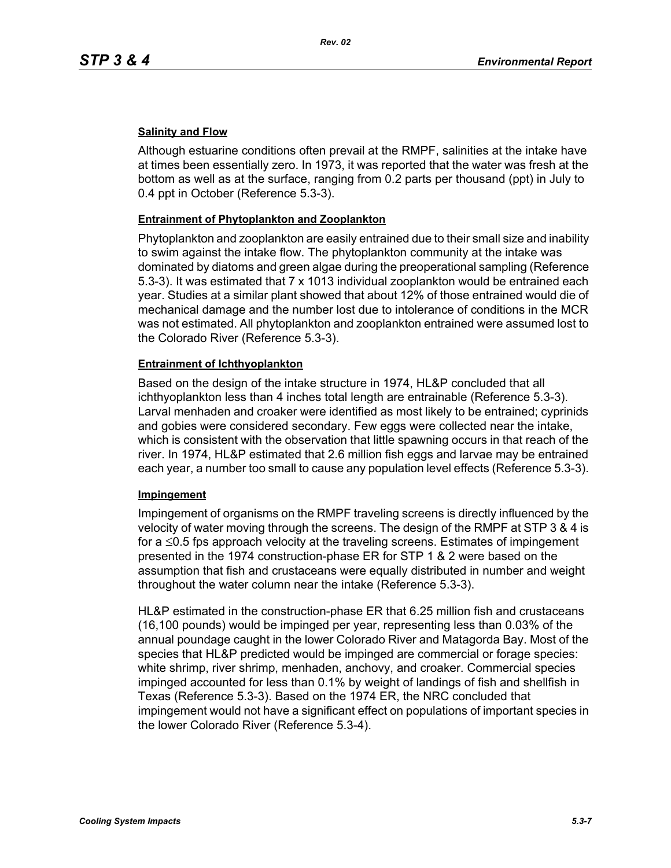## **Salinity and Flow**

Although estuarine conditions often prevail at the RMPF, salinities at the intake have at times been essentially zero. In 1973, it was reported that the water was fresh at the bottom as well as at the surface, ranging from 0.2 parts per thousand (ppt) in July to 0.4 ppt in October (Reference 5.3-3).

### **Entrainment of Phytoplankton and Zooplankton**

Phytoplankton and zooplankton are easily entrained due to their small size and inability to swim against the intake flow. The phytoplankton community at the intake was dominated by diatoms and green algae during the preoperational sampling (Reference 5.3-3). It was estimated that 7 x 1013 individual zooplankton would be entrained each year. Studies at a similar plant showed that about 12% of those entrained would die of mechanical damage and the number lost due to intolerance of conditions in the MCR was not estimated. All phytoplankton and zooplankton entrained were assumed lost to the Colorado River (Reference 5.3-3).

### **Entrainment of Ichthyoplankton**

Based on the design of the intake structure in 1974, HL&P concluded that all ichthyoplankton less than 4 inches total length are entrainable (Reference 5.3-3). Larval menhaden and croaker were identified as most likely to be entrained; cyprinids and gobies were considered secondary. Few eggs were collected near the intake, which is consistent with the observation that little spawning occurs in that reach of the river. In 1974, HL&P estimated that 2.6 million fish eggs and larvae may be entrained each year, a number too small to cause any population level effects (Reference 5.3-3).

### **Impingement**

Impingement of organisms on the RMPF traveling screens is directly influenced by the velocity of water moving through the screens. The design of the RMPF at STP 3 & 4 is for a ≤0.5 fps approach velocity at the traveling screens. Estimates of impingement presented in the 1974 construction-phase ER for STP 1 & 2 were based on the assumption that fish and crustaceans were equally distributed in number and weight throughout the water column near the intake (Reference 5.3-3).

HL&P estimated in the construction-phase ER that 6.25 million fish and crustaceans (16,100 pounds) would be impinged per year, representing less than 0.03% of the annual poundage caught in the lower Colorado River and Matagorda Bay. Most of the species that HL&P predicted would be impinged are commercial or forage species: white shrimp, river shrimp, menhaden, anchovy, and croaker. Commercial species impinged accounted for less than 0.1% by weight of landings of fish and shellfish in Texas (Reference 5.3-3). Based on the 1974 ER, the NRC concluded that impingement would not have a significant effect on populations of important species in the lower Colorado River (Reference 5.3-4).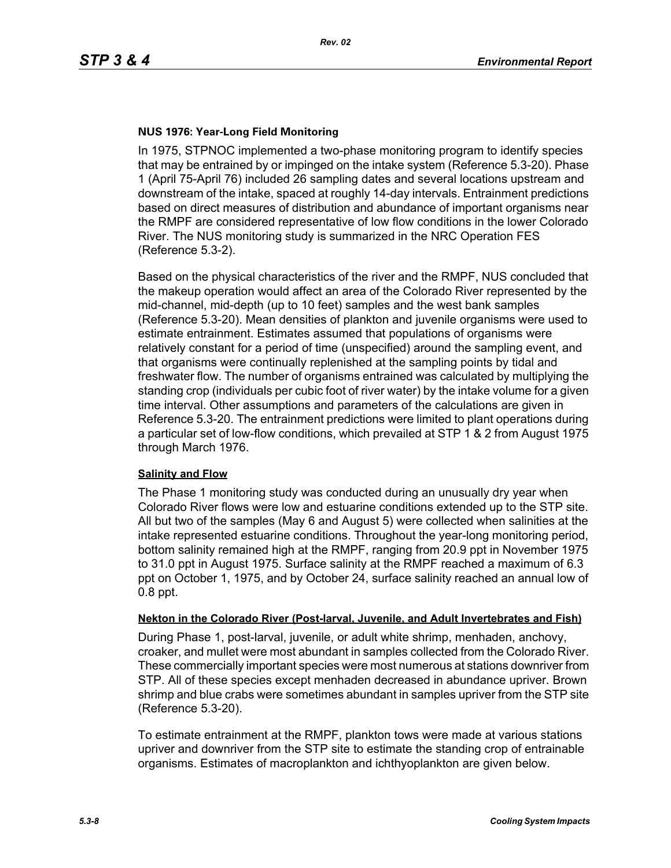## **NUS 1976: Year-Long Field Monitoring**

In 1975, STPNOC implemented a two-phase monitoring program to identify species that may be entrained by or impinged on the intake system (Reference 5.3-20). Phase 1 (April 75-April 76) included 26 sampling dates and several locations upstream and downstream of the intake, spaced at roughly 14-day intervals. Entrainment predictions based on direct measures of distribution and abundance of important organisms near the RMPF are considered representative of low flow conditions in the lower Colorado River. The NUS monitoring study is summarized in the NRC Operation FES (Reference 5.3-2).

Based on the physical characteristics of the river and the RMPF, NUS concluded that the makeup operation would affect an area of the Colorado River represented by the mid-channel, mid-depth (up to 10 feet) samples and the west bank samples (Reference 5.3-20). Mean densities of plankton and juvenile organisms were used to estimate entrainment. Estimates assumed that populations of organisms were relatively constant for a period of time (unspecified) around the sampling event, and that organisms were continually replenished at the sampling points by tidal and freshwater flow. The number of organisms entrained was calculated by multiplying the standing crop (individuals per cubic foot of river water) by the intake volume for a given time interval. Other assumptions and parameters of the calculations are given in Reference 5.3-20. The entrainment predictions were limited to plant operations during a particular set of low-flow conditions, which prevailed at STP 1 & 2 from August 1975 through March 1976.

### **Salinity and Flow**

The Phase 1 monitoring study was conducted during an unusually dry year when Colorado River flows were low and estuarine conditions extended up to the STP site. All but two of the samples (May 6 and August 5) were collected when salinities at the intake represented estuarine conditions. Throughout the year-long monitoring period, bottom salinity remained high at the RMPF, ranging from 20.9 ppt in November 1975 to 31.0 ppt in August 1975. Surface salinity at the RMPF reached a maximum of 6.3 ppt on October 1, 1975, and by October 24, surface salinity reached an annual low of 0.8 ppt.

### **Nekton in the Colorado River (Post-larval, Juvenile, and Adult Invertebrates and Fish)**

During Phase 1, post-larval, juvenile, or adult white shrimp, menhaden, anchovy, croaker, and mullet were most abundant in samples collected from the Colorado River. These commercially important species were most numerous at stations downriver from STP. All of these species except menhaden decreased in abundance upriver. Brown shrimp and blue crabs were sometimes abundant in samples upriver from the STP site (Reference 5.3-20).

To estimate entrainment at the RMPF, plankton tows were made at various stations upriver and downriver from the STP site to estimate the standing crop of entrainable organisms. Estimates of macroplankton and ichthyoplankton are given below.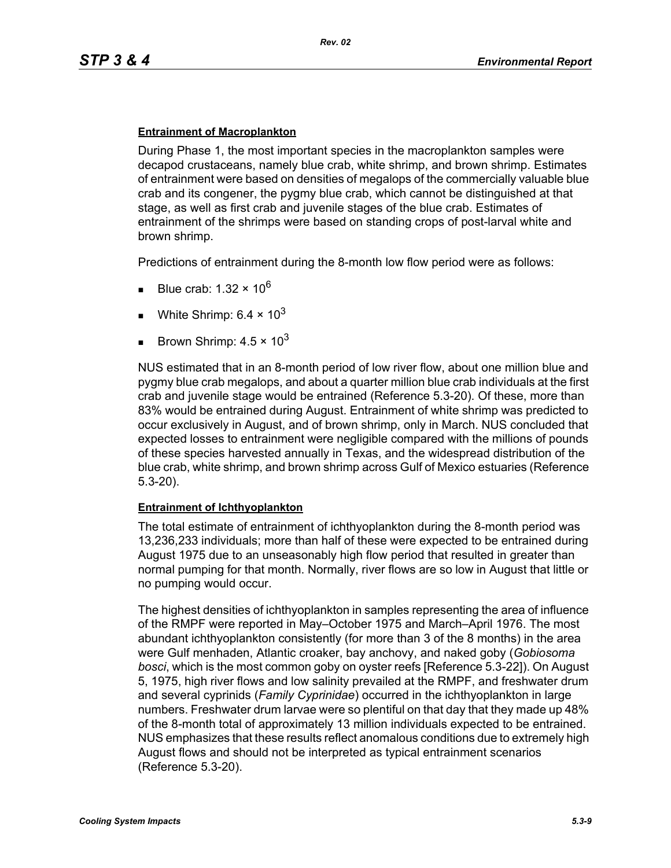### **Entrainment of Macroplankton**

During Phase 1, the most important species in the macroplankton samples were decapod crustaceans, namely blue crab, white shrimp, and brown shrimp. Estimates of entrainment were based on densities of megalops of the commercially valuable blue crab and its congener, the pygmy blue crab, which cannot be distinguished at that stage, as well as first crab and juvenile stages of the blue crab. Estimates of entrainment of the shrimps were based on standing crops of post-larval white and brown shrimp.

Predictions of entrainment during the 8-month low flow period were as follows:

- Blue crab: 1.32  $\times$  10<sup>6</sup>
- White Shrimp:  $6.4 \times 10^3$
- Brown Shrimp:  $4.5 \times 10^3$

NUS estimated that in an 8-month period of low river flow, about one million blue and pygmy blue crab megalops, and about a quarter million blue crab individuals at the first crab and juvenile stage would be entrained (Reference 5.3-20). Of these, more than 83% would be entrained during August. Entrainment of white shrimp was predicted to occur exclusively in August, and of brown shrimp, only in March. NUS concluded that expected losses to entrainment were negligible compared with the millions of pounds of these species harvested annually in Texas, and the widespread distribution of the blue crab, white shrimp, and brown shrimp across Gulf of Mexico estuaries (Reference 5.3-20).

### **Entrainment of Ichthyoplankton**

The total estimate of entrainment of ichthyoplankton during the 8-month period was 13,236,233 individuals; more than half of these were expected to be entrained during August 1975 due to an unseasonably high flow period that resulted in greater than normal pumping for that month. Normally, river flows are so low in August that little or no pumping would occur.

The highest densities of ichthyoplankton in samples representing the area of influence of the RMPF were reported in May–October 1975 and March–April 1976. The most abundant ichthyoplankton consistently (for more than 3 of the 8 months) in the area were Gulf menhaden, Atlantic croaker, bay anchovy, and naked goby (*Gobiosoma bosci*, which is the most common goby on oyster reefs [Reference 5.3-22]). On August 5, 1975, high river flows and low salinity prevailed at the RMPF, and freshwater drum and several cyprinids (*Family Cyprinidae*) occurred in the ichthyoplankton in large numbers. Freshwater drum larvae were so plentiful on that day that they made up 48% of the 8-month total of approximately 13 million individuals expected to be entrained. NUS emphasizes that these results reflect anomalous conditions due to extremely high August flows and should not be interpreted as typical entrainment scenarios (Reference 5.3-20).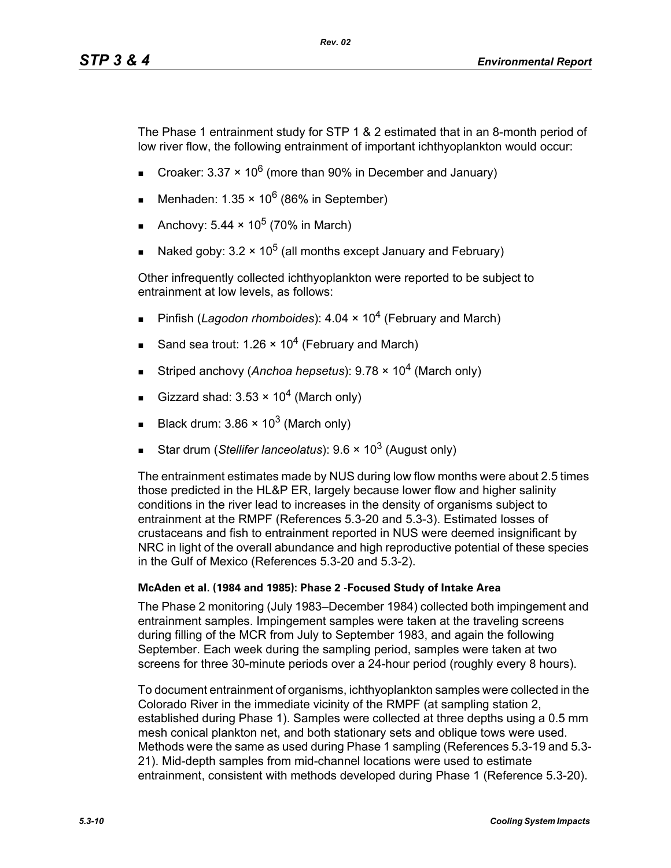The Phase 1 entrainment study for STP 1 & 2 estimated that in an 8-month period of low river flow, the following entrainment of important ichthyoplankton would occur:

- Croaker: 3.37  $\times$  10<sup>6</sup> (more than 90% in December and January)
- Menhaden:  $1.35 \times 10^6$  (86% in September)
- Anchovy:  $5.44 \times 10^5$  (70% in March)
- Naked goby:  $3.2 \times 10^5$  (all months except January and February)

Other infrequently collected ichthyoplankton were reported to be subject to entrainment at low levels, as follows:

- Pinfish (*Lagodon rhomboides*): 4.04 × 10<sup>4</sup> (February and March)
- Sand sea trout: 1.26  $\times$  10<sup>4</sup> (February and March)
- Striped anchovy (*Anchoa hepsetus*): 9.78 × 104 (March only)
- Gizzard shad:  $3.53 \times 10^4$  (March only)
- Black drum:  $3.86 \times 10^3$  (March only)
- Star drum (*Stellifer lanceolatus*): 9.6 × 10<sup>3</sup> (August only)

The entrainment estimates made by NUS during low flow months were about 2.5 times those predicted in the HL&P ER, largely because lower flow and higher salinity conditions in the river lead to increases in the density of organisms subject to entrainment at the RMPF (References 5.3-20 and 5.3-3). Estimated losses of crustaceans and fish to entrainment reported in NUS were deemed insignificant by NRC in light of the overall abundance and high reproductive potential of these species in the Gulf of Mexico (References 5.3-20 and 5.3-2).

### **McAden et al. (1984 and 1985): Phase 2 -Focused Study of Intake Area**

The Phase 2 monitoring (July 1983–December 1984) collected both impingement and entrainment samples. Impingement samples were taken at the traveling screens during filling of the MCR from July to September 1983, and again the following September. Each week during the sampling period, samples were taken at two screens for three 30-minute periods over a 24-hour period (roughly every 8 hours).

To document entrainment of organisms, ichthyoplankton samples were collected in the Colorado River in the immediate vicinity of the RMPF (at sampling station 2, established during Phase 1). Samples were collected at three depths using a 0.5 mm mesh conical plankton net, and both stationary sets and oblique tows were used. Methods were the same as used during Phase 1 sampling (References 5.3-19 and 5.3- 21). Mid-depth samples from mid-channel locations were used to estimate entrainment, consistent with methods developed during Phase 1 (Reference 5.3-20).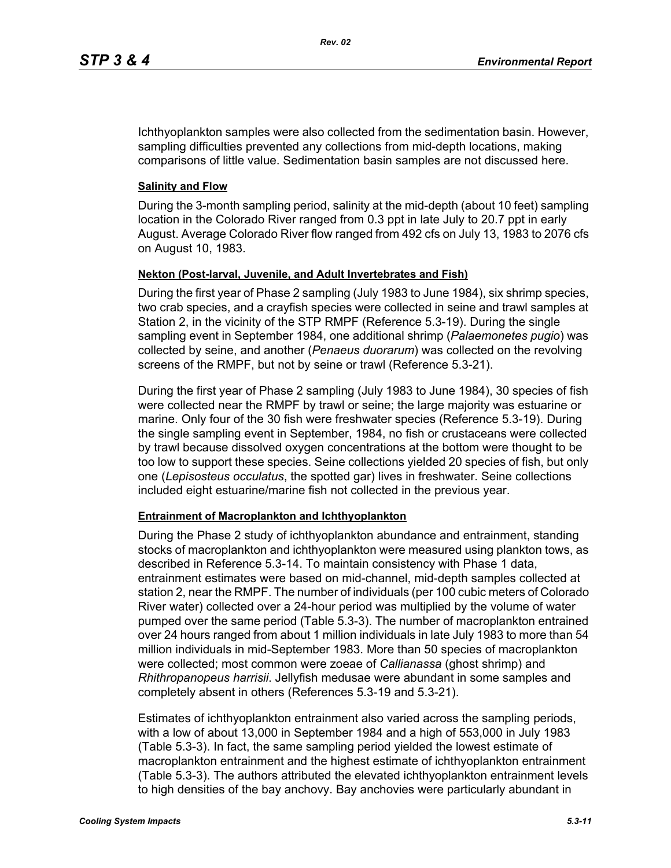Ichthyoplankton samples were also collected from the sedimentation basin. However, sampling difficulties prevented any collections from mid-depth locations, making comparisons of little value. Sedimentation basin samples are not discussed here.

## **Salinity and Flow**

During the 3-month sampling period, salinity at the mid-depth (about 10 feet) sampling location in the Colorado River ranged from 0.3 ppt in late July to 20.7 ppt in early August. Average Colorado River flow ranged from 492 cfs on July 13, 1983 to 2076 cfs on August 10, 1983.

## **Nekton (Post-larval, Juvenile, and Adult Invertebrates and Fish)**

During the first year of Phase 2 sampling (July 1983 to June 1984), six shrimp species, two crab species, and a crayfish species were collected in seine and trawl samples at Station 2, in the vicinity of the STP RMPF (Reference 5.3-19). During the single sampling event in September 1984, one additional shrimp (*Palaemonetes pugio*) was collected by seine, and another (*Penaeus duorarum*) was collected on the revolving screens of the RMPF, but not by seine or trawl (Reference 5.3-21).

During the first year of Phase 2 sampling (July 1983 to June 1984), 30 species of fish were collected near the RMPF by trawl or seine; the large majority was estuarine or marine. Only four of the 30 fish were freshwater species (Reference 5.3-19). During the single sampling event in September, 1984, no fish or crustaceans were collected by trawl because dissolved oxygen concentrations at the bottom were thought to be too low to support these species. Seine collections yielded 20 species of fish, but only one (*Lepisosteus occulatus*, the spotted gar) lives in freshwater. Seine collections included eight estuarine/marine fish not collected in the previous year.

### **Entrainment of Macroplankton and Ichthyoplankton**

During the Phase 2 study of ichthyoplankton abundance and entrainment, standing stocks of macroplankton and ichthyoplankton were measured using plankton tows, as described in Reference 5.3-14. To maintain consistency with Phase 1 data, entrainment estimates were based on mid-channel, mid-depth samples collected at station 2, near the RMPF. The number of individuals (per 100 cubic meters of Colorado River water) collected over a 24-hour period was multiplied by the volume of water pumped over the same period (Table 5.3-3). The number of macroplankton entrained over 24 hours ranged from about 1 million individuals in late July 1983 to more than 54 million individuals in mid-September 1983. More than 50 species of macroplankton were collected; most common were zoeae of *Callianassa* (ghost shrimp) and *Rhithropanopeus harrisii*. Jellyfish medusae were abundant in some samples and completely absent in others (References 5.3-19 and 5.3-21).

Estimates of ichthyoplankton entrainment also varied across the sampling periods, with a low of about 13,000 in September 1984 and a high of 553,000 in July 1983 (Table 5.3-3). In fact, the same sampling period yielded the lowest estimate of macroplankton entrainment and the highest estimate of ichthyoplankton entrainment (Table 5.3-3). The authors attributed the elevated ichthyoplankton entrainment levels to high densities of the bay anchovy. Bay anchovies were particularly abundant in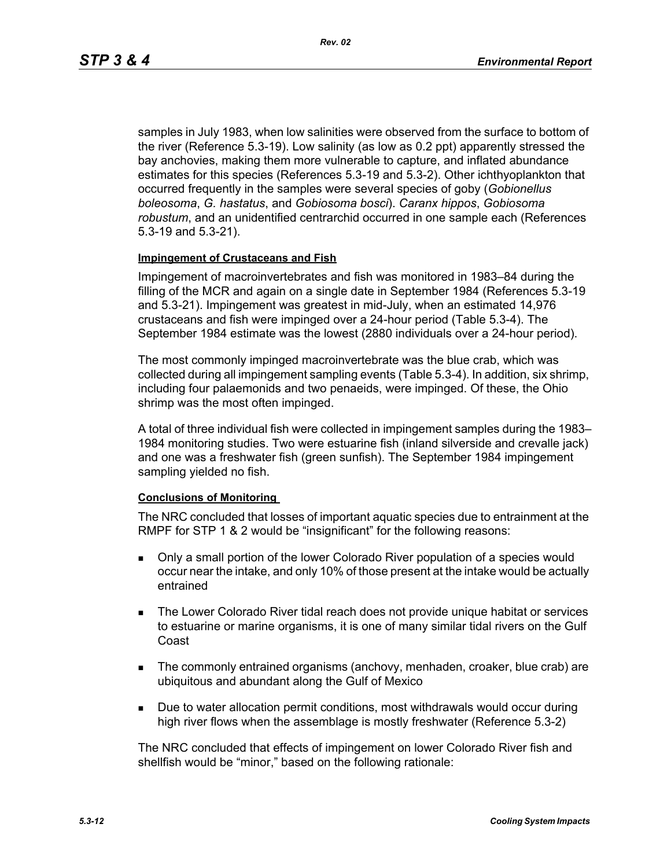samples in July 1983, when low salinities were observed from the surface to bottom of the river (Reference 5.3-19). Low salinity (as low as 0.2 ppt) apparently stressed the bay anchovies, making them more vulnerable to capture, and inflated abundance estimates for this species (References 5.3-19 and 5.3-2). Other ichthyoplankton that occurred frequently in the samples were several species of goby (*Gobionellus boleosoma*, *G. hastatus*, and *Gobiosoma bosci*). *Caranx hippos*, *Gobiosoma robustum*, and an unidentified centrarchid occurred in one sample each (References 5.3-19 and 5.3-21).

### **Impingement of Crustaceans and Fish**

Impingement of macroinvertebrates and fish was monitored in 1983–84 during the filling of the MCR and again on a single date in September 1984 (References 5.3-19 and 5.3-21). Impingement was greatest in mid-July, when an estimated 14,976 crustaceans and fish were impinged over a 24-hour period (Table 5.3-4). The September 1984 estimate was the lowest (2880 individuals over a 24-hour period).

The most commonly impinged macroinvertebrate was the blue crab, which was collected during all impingement sampling events (Table 5.3-4). In addition, six shrimp, including four palaemonids and two penaeids, were impinged. Of these, the Ohio shrimp was the most often impinged.

A total of three individual fish were collected in impingement samples during the 1983– 1984 monitoring studies. Two were estuarine fish (inland silverside and crevalle jack) and one was a freshwater fish (green sunfish). The September 1984 impingement sampling yielded no fish.

### **Conclusions of Monitoring**

The NRC concluded that losses of important aquatic species due to entrainment at the RMPF for STP 1 & 2 would be "insignificant" for the following reasons:

- Only a small portion of the lower Colorado River population of a species would occur near the intake, and only 10% of those present at the intake would be actually entrained
- **The Lower Colorado River tidal reach does not provide unique habitat or services** to estuarine or marine organisms, it is one of many similar tidal rivers on the Gulf Coast
- The commonly entrained organisms (anchovy, menhaden, croaker, blue crab) are ubiquitous and abundant along the Gulf of Mexico
- **Due to water allocation permit conditions, most withdrawals would occur during** high river flows when the assemblage is mostly freshwater (Reference 5.3-2)

The NRC concluded that effects of impingement on lower Colorado River fish and shellfish would be "minor," based on the following rationale: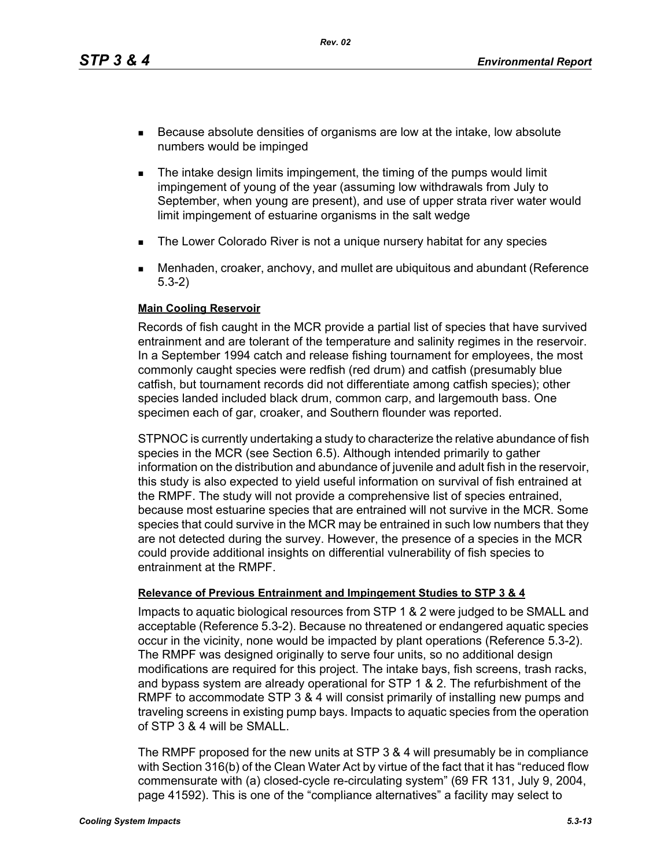*Rev. 02*

- Because absolute densities of organisms are low at the intake, low absolute numbers would be impinged
- **The intake design limits impingement, the timing of the pumps would limit** impingement of young of the year (assuming low withdrawals from July to September, when young are present), and use of upper strata river water would limit impingement of estuarine organisms in the salt wedge
- **The Lower Colorado River is not a unique nursery habitat for any species**
- Menhaden, croaker, anchovy, and mullet are ubiquitous and abundant (Reference 5.3-2)

### **Main Cooling Reservoir**

Records of fish caught in the MCR provide a partial list of species that have survived entrainment and are tolerant of the temperature and salinity regimes in the reservoir. In a September 1994 catch and release fishing tournament for employees, the most commonly caught species were redfish (red drum) and catfish (presumably blue catfish, but tournament records did not differentiate among catfish species); other species landed included black drum, common carp, and largemouth bass. One specimen each of gar, croaker, and Southern flounder was reported.

STPNOC is currently undertaking a study to characterize the relative abundance of fish species in the MCR (see Section 6.5). Although intended primarily to gather information on the distribution and abundance of juvenile and adult fish in the reservoir, this study is also expected to yield useful information on survival of fish entrained at the RMPF. The study will not provide a comprehensive list of species entrained, because most estuarine species that are entrained will not survive in the MCR. Some species that could survive in the MCR may be entrained in such low numbers that they are not detected during the survey. However, the presence of a species in the MCR could provide additional insights on differential vulnerability of fish species to entrainment at the RMPF.

## **Relevance of Previous Entrainment and Impingement Studies to STP 3 & 4**

Impacts to aquatic biological resources from STP 1 & 2 were judged to be SMALL and acceptable (Reference 5.3-2). Because no threatened or endangered aquatic species occur in the vicinity, none would be impacted by plant operations (Reference 5.3-2). The RMPF was designed originally to serve four units, so no additional design modifications are required for this project. The intake bays, fish screens, trash racks, and bypass system are already operational for STP 1 & 2. The refurbishment of the RMPF to accommodate STP 3 & 4 will consist primarily of installing new pumps and traveling screens in existing pump bays. Impacts to aquatic species from the operation of STP 3 & 4 will be SMALL.

The RMPF proposed for the new units at STP 3 & 4 will presumably be in compliance with Section 316(b) of the Clean Water Act by virtue of the fact that it has "reduced flow commensurate with (a) closed-cycle re-circulating system" (69 FR 131, July 9, 2004, page 41592). This is one of the "compliance alternatives" a facility may select to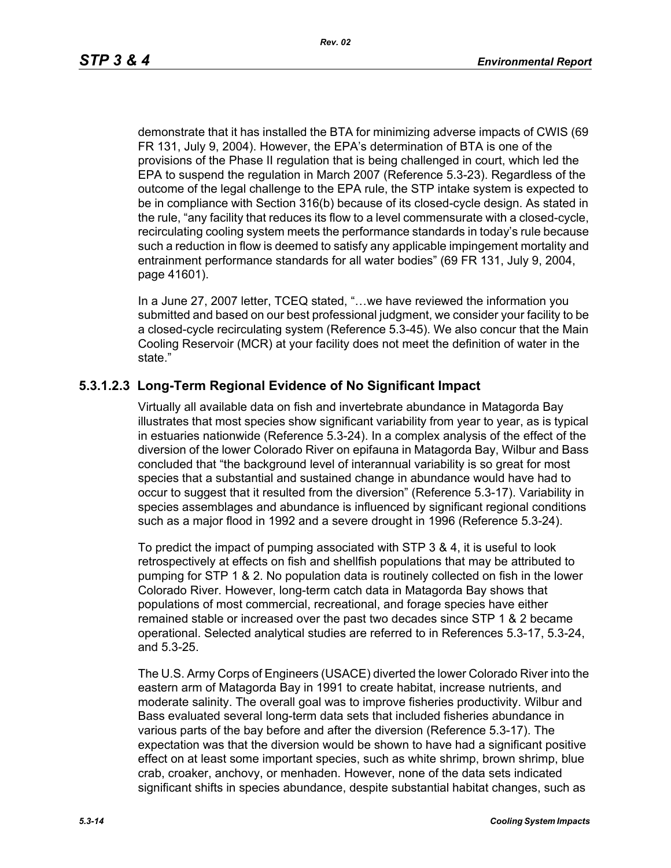demonstrate that it has installed the BTA for minimizing adverse impacts of CWIS (69 FR 131, July 9, 2004). However, the EPA's determination of BTA is one of the provisions of the Phase II regulation that is being challenged in court, which led the EPA to suspend the regulation in March 2007 (Reference 5.3-23). Regardless of the outcome of the legal challenge to the EPA rule, the STP intake system is expected to be in compliance with Section 316(b) because of its closed-cycle design. As stated in the rule, "any facility that reduces its flow to a level commensurate with a closed-cycle, recirculating cooling system meets the performance standards in today's rule because such a reduction in flow is deemed to satisfy any applicable impingement mortality and entrainment performance standards for all water bodies" (69 FR 131, July 9, 2004, page 41601).

In a June 27, 2007 letter, TCEQ stated, "…we have reviewed the information you submitted and based on our best professional judgment, we consider your facility to be a closed-cycle recirculating system (Reference 5.3-45). We also concur that the Main Cooling Reservoir (MCR) at your facility does not meet the definition of water in the state."

# **5.3.1.2.3 Long-Term Regional Evidence of No Significant Impact**

Virtually all available data on fish and invertebrate abundance in Matagorda Bay illustrates that most species show significant variability from year to year, as is typical in estuaries nationwide (Reference 5.3-24). In a complex analysis of the effect of the diversion of the lower Colorado River on epifauna in Matagorda Bay, Wilbur and Bass concluded that "the background level of interannual variability is so great for most species that a substantial and sustained change in abundance would have had to occur to suggest that it resulted from the diversion" (Reference 5.3-17). Variability in species assemblages and abundance is influenced by significant regional conditions such as a major flood in 1992 and a severe drought in 1996 (Reference 5.3-24).

To predict the impact of pumping associated with STP 3 & 4, it is useful to look retrospectively at effects on fish and shellfish populations that may be attributed to pumping for STP 1 & 2. No population data is routinely collected on fish in the lower Colorado River. However, long-term catch data in Matagorda Bay shows that populations of most commercial, recreational, and forage species have either remained stable or increased over the past two decades since STP 1 & 2 became operational. Selected analytical studies are referred to in References 5.3-17, 5.3-24, and 5.3-25.

The U.S. Army Corps of Engineers (USACE) diverted the lower Colorado River into the eastern arm of Matagorda Bay in 1991 to create habitat, increase nutrients, and moderate salinity. The overall goal was to improve fisheries productivity. Wilbur and Bass evaluated several long-term data sets that included fisheries abundance in various parts of the bay before and after the diversion (Reference 5.3-17). The expectation was that the diversion would be shown to have had a significant positive effect on at least some important species, such as white shrimp, brown shrimp, blue crab, croaker, anchovy, or menhaden. However, none of the data sets indicated significant shifts in species abundance, despite substantial habitat changes, such as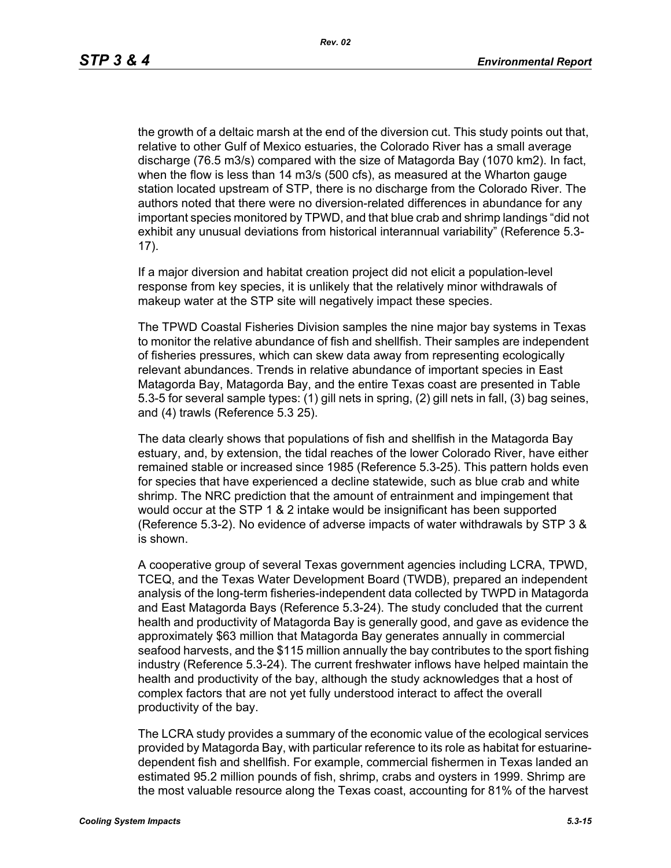the growth of a deltaic marsh at the end of the diversion cut. This study points out that, relative to other Gulf of Mexico estuaries, the Colorado River has a small average discharge (76.5 m3/s) compared with the size of Matagorda Bay (1070 km2). In fact, when the flow is less than 14 m3/s (500 cfs), as measured at the Wharton gauge station located upstream of STP, there is no discharge from the Colorado River. The authors noted that there were no diversion-related differences in abundance for any important species monitored by TPWD, and that blue crab and shrimp landings "did not exhibit any unusual deviations from historical interannual variability" (Reference 5.3- 17).

If a major diversion and habitat creation project did not elicit a population-level response from key species, it is unlikely that the relatively minor withdrawals of makeup water at the STP site will negatively impact these species.

The TPWD Coastal Fisheries Division samples the nine major bay systems in Texas to monitor the relative abundance of fish and shellfish. Their samples are independent of fisheries pressures, which can skew data away from representing ecologically relevant abundances. Trends in relative abundance of important species in East Matagorda Bay, Matagorda Bay, and the entire Texas coast are presented in Table 5.3-5 for several sample types: (1) gill nets in spring, (2) gill nets in fall, (3) bag seines, and (4) trawls (Reference 5.3 25).

The data clearly shows that populations of fish and shellfish in the Matagorda Bay estuary, and, by extension, the tidal reaches of the lower Colorado River, have either remained stable or increased since 1985 (Reference 5.3-25). This pattern holds even for species that have experienced a decline statewide, such as blue crab and white shrimp. The NRC prediction that the amount of entrainment and impingement that would occur at the STP 1 & 2 intake would be insignificant has been supported (Reference 5.3-2). No evidence of adverse impacts of water withdrawals by STP 3 & is shown.

A cooperative group of several Texas government agencies including LCRA, TPWD, TCEQ, and the Texas Water Development Board (TWDB), prepared an independent analysis of the long-term fisheries-independent data collected by TWPD in Matagorda and East Matagorda Bays (Reference 5.3-24). The study concluded that the current health and productivity of Matagorda Bay is generally good, and gave as evidence the approximately \$63 million that Matagorda Bay generates annually in commercial seafood harvests, and the \$115 million annually the bay contributes to the sport fishing industry (Reference 5.3-24). The current freshwater inflows have helped maintain the health and productivity of the bay, although the study acknowledges that a host of complex factors that are not yet fully understood interact to affect the overall productivity of the bay.

The LCRA study provides a summary of the economic value of the ecological services provided by Matagorda Bay, with particular reference to its role as habitat for estuarinedependent fish and shellfish. For example, commercial fishermen in Texas landed an estimated 95.2 million pounds of fish, shrimp, crabs and oysters in 1999. Shrimp are the most valuable resource along the Texas coast, accounting for 81% of the harvest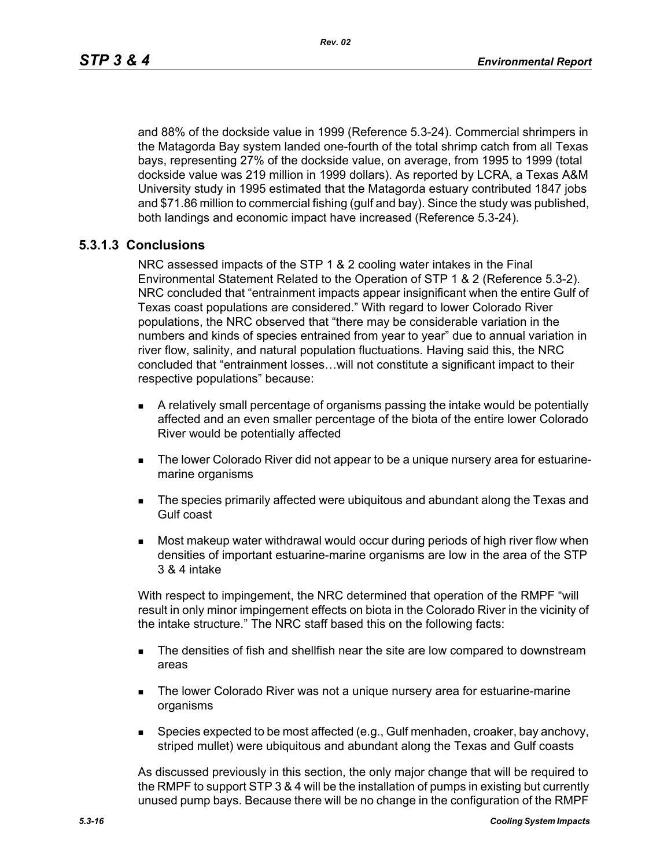and 88% of the dockside value in 1999 (Reference 5.3-24). Commercial shrimpers in the Matagorda Bay system landed one-fourth of the total shrimp catch from all Texas bays, representing 27% of the dockside value, on average, from 1995 to 1999 (total dockside value was 219 million in 1999 dollars). As reported by LCRA, a Texas A&M University study in 1995 estimated that the Matagorda estuary contributed 1847 jobs and \$71.86 million to commercial fishing (gulf and bay). Since the study was published, both landings and economic impact have increased (Reference 5.3-24).

## **5.3.1.3 Conclusions**

NRC assessed impacts of the STP 1 & 2 cooling water intakes in the Final Environmental Statement Related to the Operation of STP 1 & 2 (Reference 5.3-2). NRC concluded that "entrainment impacts appear insignificant when the entire Gulf of Texas coast populations are considered." With regard to lower Colorado River populations, the NRC observed that "there may be considerable variation in the numbers and kinds of species entrained from year to year" due to annual variation in river flow, salinity, and natural population fluctuations. Having said this, the NRC concluded that "entrainment losses…will not constitute a significant impact to their respective populations" because:

- A relatively small percentage of organisms passing the intake would be potentially affected and an even smaller percentage of the biota of the entire lower Colorado River would be potentially affected
- The lower Colorado River did not appear to be a unique nursery area for estuarinemarine organisms
- **The species primarily affected were ubiquitous and abundant along the Texas and** Gulf coast
- Most makeup water withdrawal would occur during periods of high river flow when densities of important estuarine-marine organisms are low in the area of the STP 3 & 4 intake

With respect to impingement, the NRC determined that operation of the RMPF "will result in only minor impingement effects on biota in the Colorado River in the vicinity of the intake structure." The NRC staff based this on the following facts:

- **The densities of fish and shellfish near the site are low compared to downstream** areas
- **The lower Colorado River was not a unique nursery area for estuarine-marine** organisms
- **Species expected to be most affected (e.g., Gulf menhaden, croaker, bay anchovy,** striped mullet) were ubiquitous and abundant along the Texas and Gulf coasts

As discussed previously in this section, the only major change that will be required to the RMPF to support STP 3 & 4 will be the installation of pumps in existing but currently unused pump bays. Because there will be no change in the configuration of the RMPF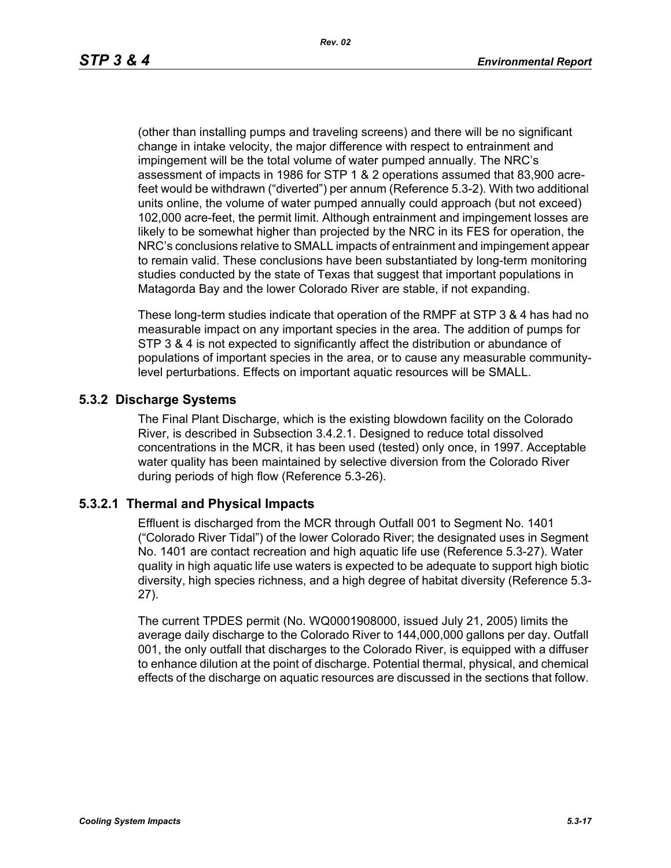(other than installing pumps and traveling screens) and there will be no significant change in intake velocity, the major difference with respect to entrainment and impingement will be the total volume of water pumped annually. The NRC's assessment of impacts in 1986 for STP 1 & 2 operations assumed that 83,900 acrefeet would be withdrawn ("diverted") per annum (Reference 5.3-2). With two additional units online, the volume of water pumped annually could approach (but not exceed) 102,000 acre-feet, the permit limit. Although entrainment and impingement losses are likely to be somewhat higher than projected by the NRC in its FES for operation, the NRC's conclusions relative to SMALL impacts of entrainment and impingement appear to remain valid. These conclusions have been substantiated by long-term monitoring studies conducted by the state of Texas that suggest that important populations in Matagorda Bay and the lower Colorado River are stable, if not expanding.

These long-term studies indicate that operation of the RMPF at STP 3 & 4 has had no measurable impact on any important species in the area. The addition of pumps for STP 3 & 4 is not expected to significantly affect the distribution or abundance of populations of important species in the area, or to cause any measurable communitylevel perturbations. Effects on important aquatic resources will be SMALL.

## **5.3.2 Discharge Systems**

The Final Plant Discharge, which is the existing blowdown facility on the Colorado River, is described in Subsection 3.4.2.1. Designed to reduce total dissolved concentrations in the MCR, it has been used (tested) only once, in 1997. Acceptable water quality has been maintained by selective diversion from the Colorado River during periods of high flow (Reference 5.3-26).

### **5.3.2.1 Thermal and Physical Impacts**

Effluent is discharged from the MCR through Outfall 001 to Segment No. 1401 ("Colorado River Tidal") of the lower Colorado River; the designated uses in Segment No. 1401 are contact recreation and high aquatic life use (Reference 5.3-27). Water quality in high aquatic life use waters is expected to be adequate to support high biotic diversity, high species richness, and a high degree of habitat diversity (Reference 5.3- 27).

The current TPDES permit (No. WQ0001908000, issued July 21, 2005) limits the average daily discharge to the Colorado River to 144,000,000 gallons per day. Outfall 001, the only outfall that discharges to the Colorado River, is equipped with a diffuser to enhance dilution at the point of discharge. Potential thermal, physical, and chemical effects of the discharge on aquatic resources are discussed in the sections that follow.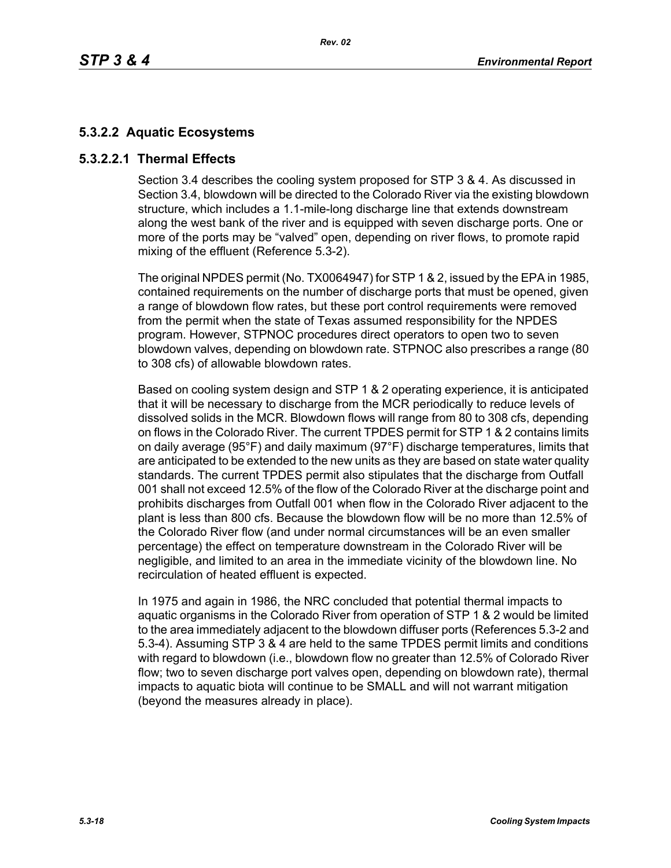# **5.3.2.2 Aquatic Ecosystems**

## **5.3.2.2.1 Thermal Effects**

Section 3.4 describes the cooling system proposed for STP 3 & 4. As discussed in Section 3.4, blowdown will be directed to the Colorado River via the existing blowdown structure, which includes a 1.1-mile-long discharge line that extends downstream along the west bank of the river and is equipped with seven discharge ports. One or more of the ports may be "valved" open, depending on river flows, to promote rapid mixing of the effluent (Reference 5.3-2).

The original NPDES permit (No. TX0064947) for STP 1 & 2, issued by the EPA in 1985, contained requirements on the number of discharge ports that must be opened, given a range of blowdown flow rates, but these port control requirements were removed from the permit when the state of Texas assumed responsibility for the NPDES program. However, STPNOC procedures direct operators to open two to seven blowdown valves, depending on blowdown rate. STPNOC also prescribes a range (80 to 308 cfs) of allowable blowdown rates.

Based on cooling system design and STP 1 & 2 operating experience, it is anticipated that it will be necessary to discharge from the MCR periodically to reduce levels of dissolved solids in the MCR. Blowdown flows will range from 80 to 308 cfs, depending on flows in the Colorado River. The current TPDES permit for STP 1 & 2 contains limits on daily average (95°F) and daily maximum (97°F) discharge temperatures, limits that are anticipated to be extended to the new units as they are based on state water quality standards. The current TPDES permit also stipulates that the discharge from Outfall 001 shall not exceed 12.5% of the flow of the Colorado River at the discharge point and prohibits discharges from Outfall 001 when flow in the Colorado River adjacent to the plant is less than 800 cfs. Because the blowdown flow will be no more than 12.5% of the Colorado River flow (and under normal circumstances will be an even smaller percentage) the effect on temperature downstream in the Colorado River will be negligible, and limited to an area in the immediate vicinity of the blowdown line. No recirculation of heated effluent is expected.

In 1975 and again in 1986, the NRC concluded that potential thermal impacts to aquatic organisms in the Colorado River from operation of STP 1 & 2 would be limited to the area immediately adjacent to the blowdown diffuser ports (References 5.3-2 and 5.3-4). Assuming STP 3 & 4 are held to the same TPDES permit limits and conditions with regard to blowdown (i.e., blowdown flow no greater than 12.5% of Colorado River flow; two to seven discharge port valves open, depending on blowdown rate), thermal impacts to aquatic biota will continue to be SMALL and will not warrant mitigation (beyond the measures already in place).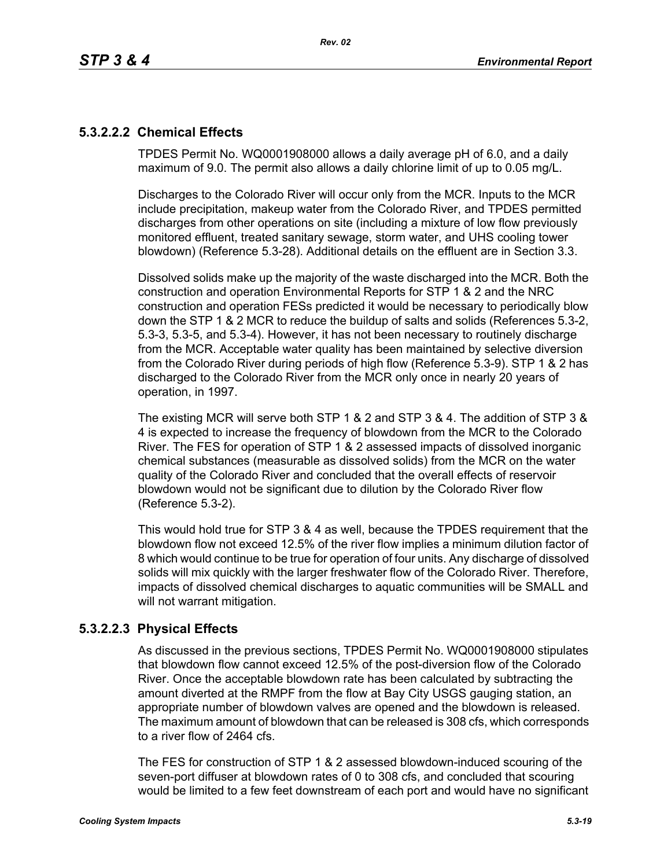# **5.3.2.2.2 Chemical Effects**

TPDES Permit No. WQ0001908000 allows a daily average pH of 6.0, and a daily maximum of 9.0. The permit also allows a daily chlorine limit of up to 0.05 mg/L.

Discharges to the Colorado River will occur only from the MCR. Inputs to the MCR include precipitation, makeup water from the Colorado River, and TPDES permitted discharges from other operations on site (including a mixture of low flow previously monitored effluent, treated sanitary sewage, storm water, and UHS cooling tower blowdown) (Reference 5.3-28). Additional details on the effluent are in Section 3.3.

Dissolved solids make up the majority of the waste discharged into the MCR. Both the construction and operation Environmental Reports for STP 1 & 2 and the NRC construction and operation FESs predicted it would be necessary to periodically blow down the STP 1 & 2 MCR to reduce the buildup of salts and solids (References 5.3-2, 5.3-3, 5.3-5, and 5.3-4). However, it has not been necessary to routinely discharge from the MCR. Acceptable water quality has been maintained by selective diversion from the Colorado River during periods of high flow (Reference 5.3-9). STP 1 & 2 has discharged to the Colorado River from the MCR only once in nearly 20 years of operation, in 1997.

The existing MCR will serve both STP 1 & 2 and STP 3 & 4. The addition of STP 3 & 4 is expected to increase the frequency of blowdown from the MCR to the Colorado River. The FES for operation of STP 1 & 2 assessed impacts of dissolved inorganic chemical substances (measurable as dissolved solids) from the MCR on the water quality of the Colorado River and concluded that the overall effects of reservoir blowdown would not be significant due to dilution by the Colorado River flow (Reference 5.3-2).

This would hold true for STP 3 & 4 as well, because the TPDES requirement that the blowdown flow not exceed 12.5% of the river flow implies a minimum dilution factor of 8 which would continue to be true for operation of four units. Any discharge of dissolved solids will mix quickly with the larger freshwater flow of the Colorado River. Therefore, impacts of dissolved chemical discharges to aquatic communities will be SMALL and will not warrant mitigation.

# **5.3.2.2.3 Physical Effects**

As discussed in the previous sections, TPDES Permit No. WQ0001908000 stipulates that blowdown flow cannot exceed 12.5% of the post-diversion flow of the Colorado River. Once the acceptable blowdown rate has been calculated by subtracting the amount diverted at the RMPF from the flow at Bay City USGS gauging station, an appropriate number of blowdown valves are opened and the blowdown is released. The maximum amount of blowdown that can be released is 308 cfs, which corresponds to a river flow of 2464 cfs.

The FES for construction of STP 1 & 2 assessed blowdown-induced scouring of the seven-port diffuser at blowdown rates of 0 to 308 cfs, and concluded that scouring would be limited to a few feet downstream of each port and would have no significant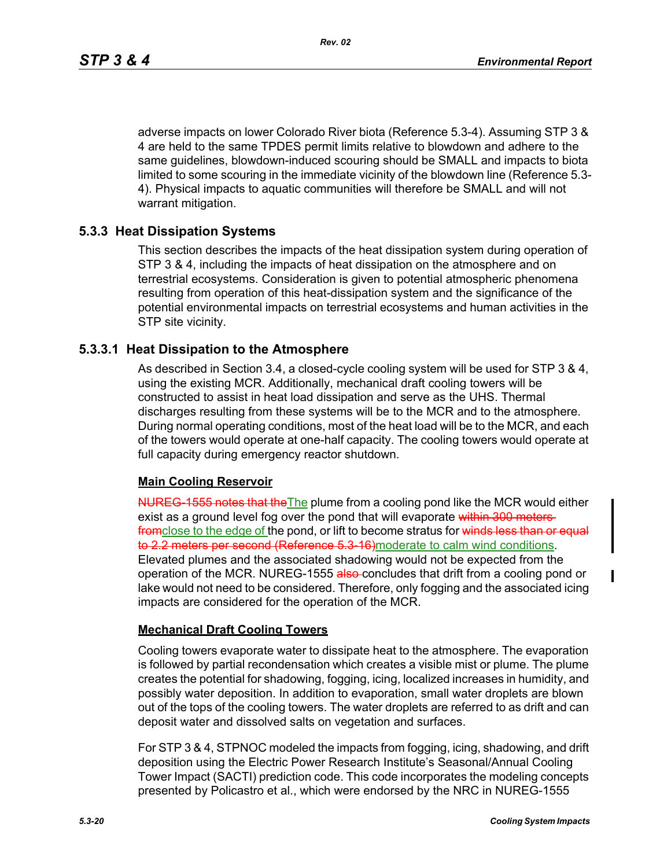adverse impacts on lower Colorado River biota (Reference 5.3-4). Assuming STP 3 & 4 are held to the same TPDES permit limits relative to blowdown and adhere to the same guidelines, blowdown-induced scouring should be SMALL and impacts to biota limited to some scouring in the immediate vicinity of the blowdown line (Reference 5.3- 4). Physical impacts to aquatic communities will therefore be SMALL and will not warrant mitigation.

## **5.3.3 Heat Dissipation Systems**

This section describes the impacts of the heat dissipation system during operation of STP 3 & 4, including the impacts of heat dissipation on the atmosphere and on terrestrial ecosystems. Consideration is given to potential atmospheric phenomena resulting from operation of this heat-dissipation system and the significance of the potential environmental impacts on terrestrial ecosystems and human activities in the STP site vicinity.

## **5.3.3.1 Heat Dissipation to the Atmosphere**

As described in Section 3.4, a closed-cycle cooling system will be used for STP 3 & 4, using the existing MCR. Additionally, mechanical draft cooling towers will be constructed to assist in heat load dissipation and serve as the UHS. Thermal discharges resulting from these systems will be to the MCR and to the atmosphere. During normal operating conditions, most of the heat load will be to the MCR, and each of the towers would operate at one-half capacity. The cooling towers would operate at full capacity during emergency reactor shutdown.

## **Main Cooling Reservoir**

NUREG-1555 notes that the The plume from a cooling pond like the MCR would either exist as a ground level fog over the pond that will evaporate within 300 metersfromclose to the edge of the pond, or lift to become stratus for winds less than or equal to 2.2 meters per second (Reference 5.3-16) moderate to calm wind conditions. Elevated plumes and the associated shadowing would not be expected from the operation of the MCR. NUREG-1555 also concludes that drift from a cooling pond or lake would not need to be considered. Therefore, only fogging and the associated icing impacts are considered for the operation of the MCR.

## **Mechanical Draft Cooling Towers**

Cooling towers evaporate water to dissipate heat to the atmosphere. The evaporation is followed by partial recondensation which creates a visible mist or plume. The plume creates the potential for shadowing, fogging, icing, localized increases in humidity, and possibly water deposition. In addition to evaporation, small water droplets are blown out of the tops of the cooling towers. The water droplets are referred to as drift and can deposit water and dissolved salts on vegetation and surfaces.

For STP 3 & 4, STPNOC modeled the impacts from fogging, icing, shadowing, and drift deposition using the Electric Power Research Institute's Seasonal/Annual Cooling Tower Impact (SACTI) prediction code. This code incorporates the modeling concepts presented by Policastro et al., which were endorsed by the NRC in NUREG-1555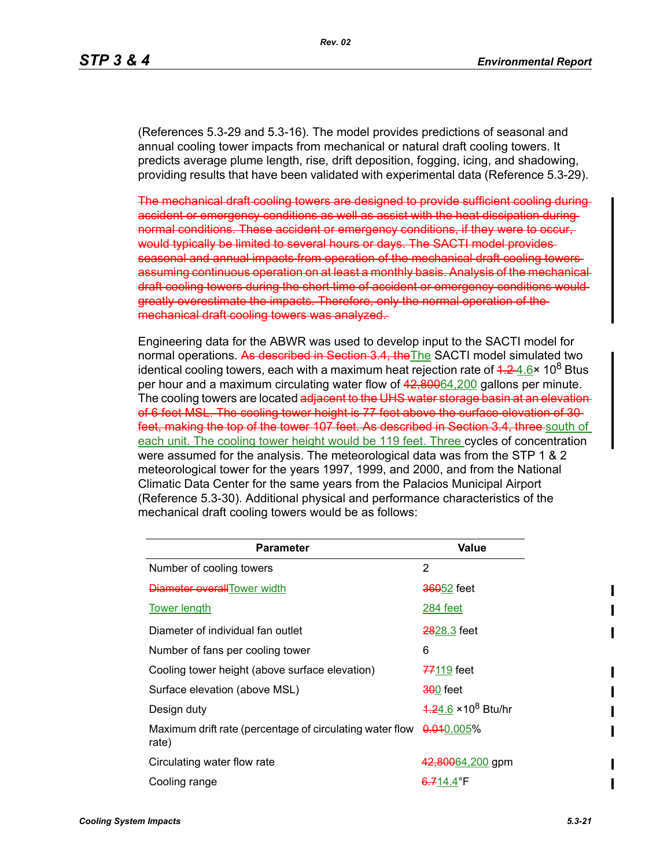(References 5.3-29 and 5.3-16). The model provides predictions of seasonal and annual cooling tower impacts from mechanical or natural draft cooling towers. It predicts average plume length, rise, drift deposition, fogging, icing, and shadowing, providing results that have been validated with experimental data (Reference 5.3-29).

The mechanical draft cooling towers are designed to provide sufficient cooling during accident or emergency conditions as well as assist with the heat dissipation duringnormal conditions. These accident or emergency conditions, if they were to occur, would typically be limited to several hours or days. The SACTI model provides seasonal and annual impacts from operation of the mechanical draft cooling towers assuming continuous operation on at least a monthly basis. Analysis of the mechanical draft cooling towers during the short time of accident or emergency conditions would greatly overestimate the impacts. Therefore, only the normal operation of the mechanical draft cooling towers was analyzed.

Engineering data for the ABWR was used to develop input to the SACTI model for normal operations. As described in Section 3.4, the The SACTI model simulated two identical cooling towers, each with a maximum heat rejection rate of  $4.24.6\times10^8$  Btus per hour and a maximum circulating water flow of 42,80064,200 gallons per minute. The cooling towers are located adjacent to the UHS water storage basin at an elevation of 6 feet MSL. The cooling tower height is 77 feet above the surface elevation of 30 feet, making the top of the tower 107 feet. As described in Section 3.4, three south of each unit. The cooling tower height would be 119 feet. Three cycles of concentration were assumed for the analysis. The meteorological data was from the STP 1 & 2 meteorological tower for the years 1997, 1999, and 2000, and from the National Climatic Data Center for the same years from the Palacios Municipal Airport (Reference 5.3-30). Additional physical and performance characteristics of the mechanical draft cooling towers would be as follows:

| Parameter                                                         | Value                       |
|-------------------------------------------------------------------|-----------------------------|
| Number of cooling towers                                          | 2                           |
| Diameter overallTower width                                       | <b>360</b> 52 feet          |
| <b>Tower length</b>                                               | 284 feet                    |
| Diameter of individual fan outlet                                 | 2828.3 feet                 |
| Number of fans per cooling tower                                  | 6                           |
| Cooling tower height (above surface elevation)                    | 77119 feet                  |
| Surface elevation (above MSL)                                     | <del>30</del> 0 feet        |
| Design duty                                                       | $4.24.6 \times 10^8$ Btu/hr |
| Maximum drift rate (percentage of circulating water flow<br>rate) | <del>0.01</del> 0.005%      |
| Circulating water flow rate                                       | 42,80064,200 gpm            |
| Cooling range                                                     | <del>6.7</del> 14.4°F       |

 $\blacksquare$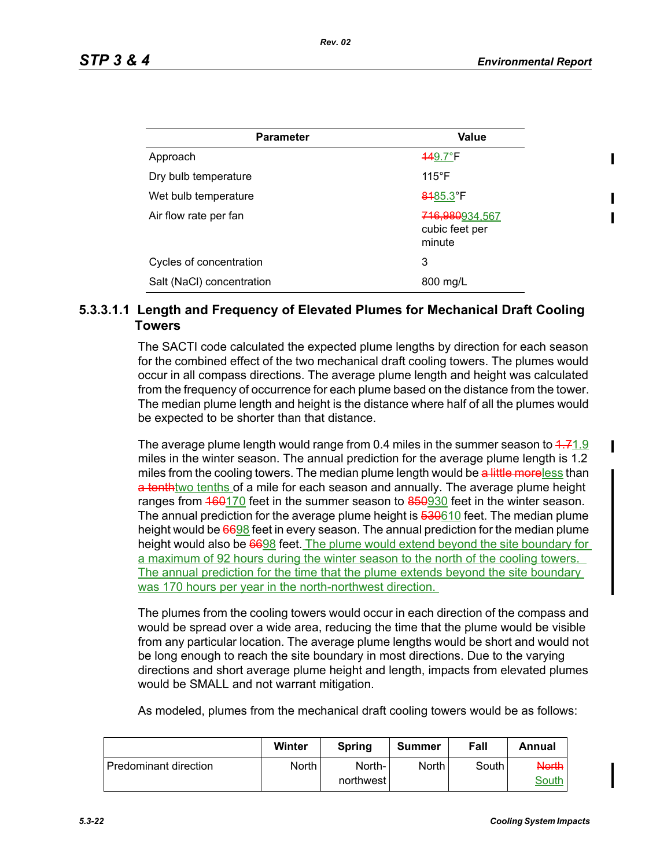| <b>Parameter</b>          | <b>Value</b>                               |
|---------------------------|--------------------------------------------|
| Approach                  | <b>449.7°F</b>                             |
| Dry bulb temperature      | $115^{\circ}$ F                            |
| Wet bulb temperature      | 8485.3°F                                   |
| Air flow rate per fan     | 716,980934,567<br>cubic feet per<br>minute |
| Cycles of concentration   | 3                                          |
| Salt (NaCl) concentration | 800 mg/L                                   |

## **5.3.3.1.1 Length and Frequency of Elevated Plumes for Mechanical Draft Cooling Towers**

The SACTI code calculated the expected plume lengths by direction for each season for the combined effect of the two mechanical draft cooling towers. The plumes would occur in all compass directions. The average plume length and height was calculated from the frequency of occurrence for each plume based on the distance from the tower. The median plume length and height is the distance where half of all the plumes would be expected to be shorter than that distance.

The average plume length would range from 0.4 miles in the summer season to  $4.71.9$ miles in the winter season. The annual prediction for the average plume length is 1.2 miles from the cooling towers. The median plume length would be a little moreless than a tenth two tenths of a mile for each season and annually. The average plume height ranges from 460170 feet in the summer season to 850930 feet in the winter season. The annual prediction for the average plume height is 530610 feet. The median plume height would be 6698 feet in every season. The annual prediction for the median plume height would also be 6698 feet. The plume would extend beyond the site boundary for a maximum of 92 hours during the winter season to the north of the cooling towers. The annual prediction for the time that the plume extends beyond the site boundary was 170 hours per year in the north-northwest direction.

The plumes from the cooling towers would occur in each direction of the compass and would be spread over a wide area, reducing the time that the plume would be visible from any particular location. The average plume lengths would be short and would not be long enough to reach the site boundary in most directions. Due to the varying directions and short average plume height and length, impacts from elevated plumes would be SMALL and not warrant mitigation.

As modeled, plumes from the mechanical draft cooling towers would be as follows:

|                              | Winter       | <b>Spring</b> | Summer       | Fall    | Annual  |
|------------------------------|--------------|---------------|--------------|---------|---------|
| <b>Predominant direction</b> | <b>North</b> | North-        | <b>North</b> | South i | North I |
|                              |              | northwest l   |              |         | South   |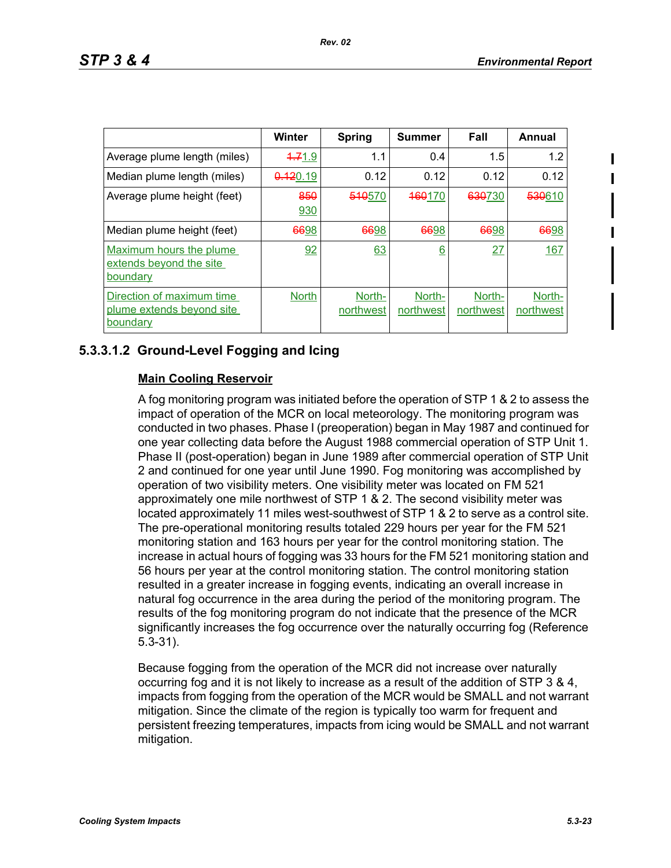|                                                                    | <b>Winter</b> | <b>Spring</b>       | <b>Summer</b>       | Fall                | Annual              |
|--------------------------------------------------------------------|---------------|---------------------|---------------------|---------------------|---------------------|
| Average plume length (miles)                                       | 4.71.9        | 1.1                 | 0.4                 | 1.5                 | 1.2                 |
| Median plume length (miles)                                        | 0.120.19      | 0.12                | 0.12                | 0.12                | 0.12                |
| Average plume height (feet)                                        | 850<br>930    | 510570              | <del>160</del> 170  | 630730              | 530610              |
| Median plume height (feet)                                         | 6698          | 6698                | 6698                | 6698                | 6698                |
| Maximum hours the plume<br>extends beyond the site<br>boundary     | 92            | 63                  | 6                   | 27                  | 167                 |
| Direction of maximum time<br>plume extends beyond site<br>boundary | <b>North</b>  | North-<br>northwest | North-<br>northwest | North-<br>northwest | North-<br>northwest |

# **5.3.3.1.2 Ground-Level Fogging and Icing**

## **Main Cooling Reservoir**

A fog monitoring program was initiated before the operation of STP 1 & 2 to assess the impact of operation of the MCR on local meteorology. The monitoring program was conducted in two phases. Phase I (preoperation) began in May 1987 and continued for one year collecting data before the August 1988 commercial operation of STP Unit 1. Phase II (post-operation) began in June 1989 after commercial operation of STP Unit 2 and continued for one year until June 1990. Fog monitoring was accomplished by operation of two visibility meters. One visibility meter was located on FM 521 approximately one mile northwest of STP 1 & 2. The second visibility meter was located approximately 11 miles west-southwest of STP 1 & 2 to serve as a control site. The pre-operational monitoring results totaled 229 hours per year for the FM 521 monitoring station and 163 hours per year for the control monitoring station. The increase in actual hours of fogging was 33 hours for the FM 521 monitoring station and 56 hours per year at the control monitoring station. The control monitoring station resulted in a greater increase in fogging events, indicating an overall increase in natural fog occurrence in the area during the period of the monitoring program. The results of the fog monitoring program do not indicate that the presence of the MCR significantly increases the fog occurrence over the naturally occurring fog (Reference 5.3-31).

Because fogging from the operation of the MCR did not increase over naturally occurring fog and it is not likely to increase as a result of the addition of STP 3 & 4, impacts from fogging from the operation of the MCR would be SMALL and not warrant mitigation. Since the climate of the region is typically too warm for frequent and persistent freezing temperatures, impacts from icing would be SMALL and not warrant mitigation.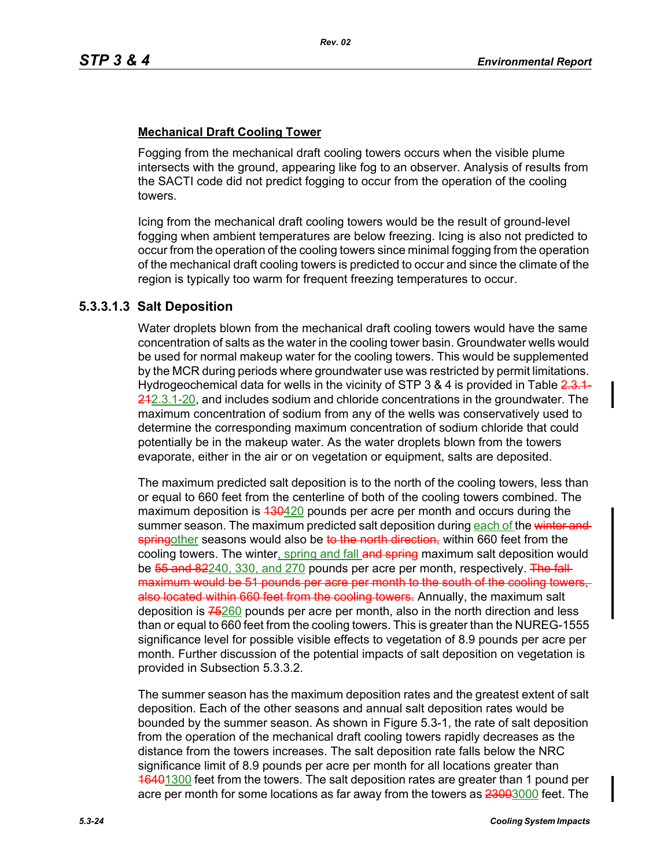## **Mechanical Draft Cooling Tower**

Fogging from the mechanical draft cooling towers occurs when the visible plume intersects with the ground, appearing like fog to an observer. Analysis of results from the SACTI code did not predict fogging to occur from the operation of the cooling towers.

Icing from the mechanical draft cooling towers would be the result of ground-level fogging when ambient temperatures are below freezing. Icing is also not predicted to occur from the operation of the cooling towers since minimal fogging from the operation of the mechanical draft cooling towers is predicted to occur and since the climate of the region is typically too warm for frequent freezing temperatures to occur.

## **5.3.3.1.3 Salt Deposition**

Water droplets blown from the mechanical draft cooling towers would have the same concentration of salts as the water in the cooling tower basin. Groundwater wells would be used for normal makeup water for the cooling towers. This would be supplemented by the MCR during periods where groundwater use was restricted by permit limitations. Hydrogeochemical data for wells in the vicinity of STP 3 & 4 is provided in Table  $2.3.1$ 242.3.1-20, and includes sodium and chloride concentrations in the groundwater. The maximum concentration of sodium from any of the wells was conservatively used to determine the corresponding maximum concentration of sodium chloride that could potentially be in the makeup water. As the water droplets blown from the towers evaporate, either in the air or on vegetation or equipment, salts are deposited.

The maximum predicted salt deposition is to the north of the cooling towers, less than or equal to 660 feet from the centerline of both of the cooling towers combined. The maximum deposition is 430420 pounds per acre per month and occurs during the summer season. The maximum predicted salt deposition during each of the winter and springother seasons would also be to the north direction, within 660 feet from the cooling towers. The winter, spring and fall and spring maximum salt deposition would be 55 and 82240, 330, and 270 pounds per acre per month, respectively. The fallmaximum would be 51 pounds per acre per month to the south of the cooling towers, also located within 660 feet from the cooling towers. Annually, the maximum salt deposition is  $75260$  pounds per acre per month, also in the north direction and less than or equal to 660 feet from the cooling towers. This is greater than the NUREG-1555 significance level for possible visible effects to vegetation of 8.9 pounds per acre per month. Further discussion of the potential impacts of salt deposition on vegetation is provided in Subsection 5.3.3.2.

The summer season has the maximum deposition rates and the greatest extent of salt deposition. Each of the other seasons and annual salt deposition rates would be bounded by the summer season. As shown in Figure 5.3-1, the rate of salt deposition from the operation of the mechanical draft cooling towers rapidly decreases as the distance from the towers increases. The salt deposition rate falls below the NRC significance limit of 8.9 pounds per acre per month for all locations greater than 16401300 feet from the towers. The salt deposition rates are greater than 1 pound per acre per month for some locations as far away from the towers as 23003000 feet. The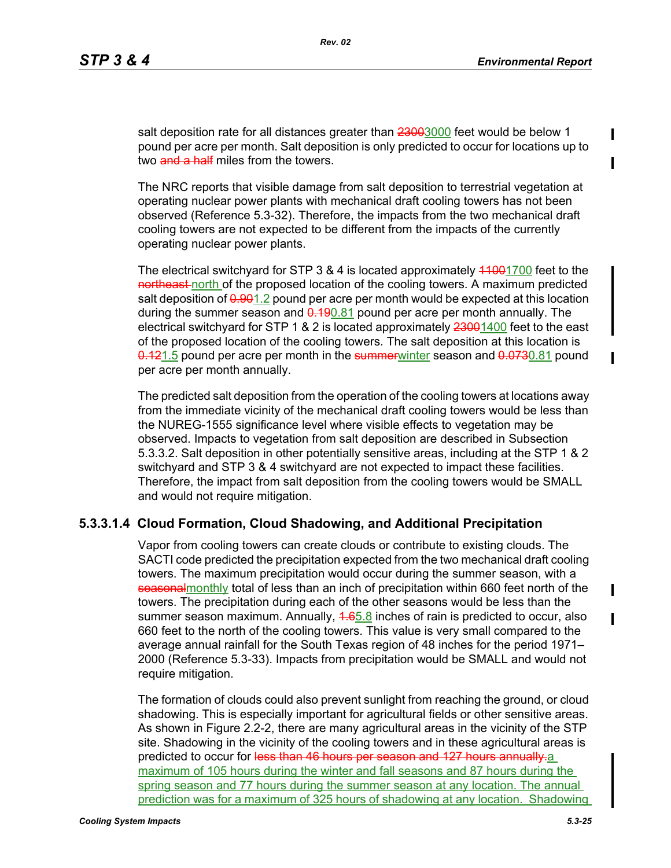salt deposition rate for all distances greater than 23003000 feet would be below 1 pound per acre per month. Salt deposition is only predicted to occur for locations up to two and a half miles from the towers.

The NRC reports that visible damage from salt deposition to terrestrial vegetation at operating nuclear power plants with mechanical draft cooling towers has not been observed (Reference 5.3-32). Therefore, the impacts from the two mechanical draft cooling towers are not expected to be different from the impacts of the currently operating nuclear power plants.

The electrical switchyard for STP  $3.8.4$  is located approximately  $4.1001700$  feet to the northeast-north of the proposed location of the cooling towers. A maximum predicted salt deposition of  $0.901.2$  pound per acre per month would be expected at this location during the summer season and  $0.190.81$  pound per acre per month annually. The electrical switchyard for STP 1 & 2 is located approximately 23001400 feet to the east of the proposed location of the cooling towers. The salt deposition at this location is 0.121.5 pound per acre per month in the summerwinter season and 0.0730.81 pound per acre per month annually.

The predicted salt deposition from the operation of the cooling towers at locations away from the immediate vicinity of the mechanical draft cooling towers would be less than the NUREG-1555 significance level where visible effects to vegetation may be observed. Impacts to vegetation from salt deposition are described in Subsection 5.3.3.2. Salt deposition in other potentially sensitive areas, including at the STP 1 & 2 switchyard and STP 3 & 4 switchyard are not expected to impact these facilities. Therefore, the impact from salt deposition from the cooling towers would be SMALL and would not require mitigation.

## **5.3.3.1.4 Cloud Formation, Cloud Shadowing, and Additional Precipitation**

Vapor from cooling towers can create clouds or contribute to existing clouds. The SACTI code predicted the precipitation expected from the two mechanical draft cooling towers. The maximum precipitation would occur during the summer season, with a seasonal monthly total of less than an inch of precipitation within 660 feet north of the towers. The precipitation during each of the other seasons would be less than the summer season maximum. Annually, 4.65.8 inches of rain is predicted to occur, also 660 feet to the north of the cooling towers. This value is very small compared to the average annual rainfall for the South Texas region of 48 inches for the period 1971– 2000 (Reference 5.3-33). Impacts from precipitation would be SMALL and would not require mitigation.

The formation of clouds could also prevent sunlight from reaching the ground, or cloud shadowing. This is especially important for agricultural fields or other sensitive areas. As shown in Figure 2.2-2, there are many agricultural areas in the vicinity of the STP site. Shadowing in the vicinity of the cooling towers and in these agricultural areas is predicted to occur for less than 46 hours per season and 127 hours annually.a maximum of 105 hours during the winter and fall seasons and 87 hours during the spring season and 77 hours during the summer season at any location. The annual prediction was for a maximum of 325 hours of shadowing at any location. Shadowing П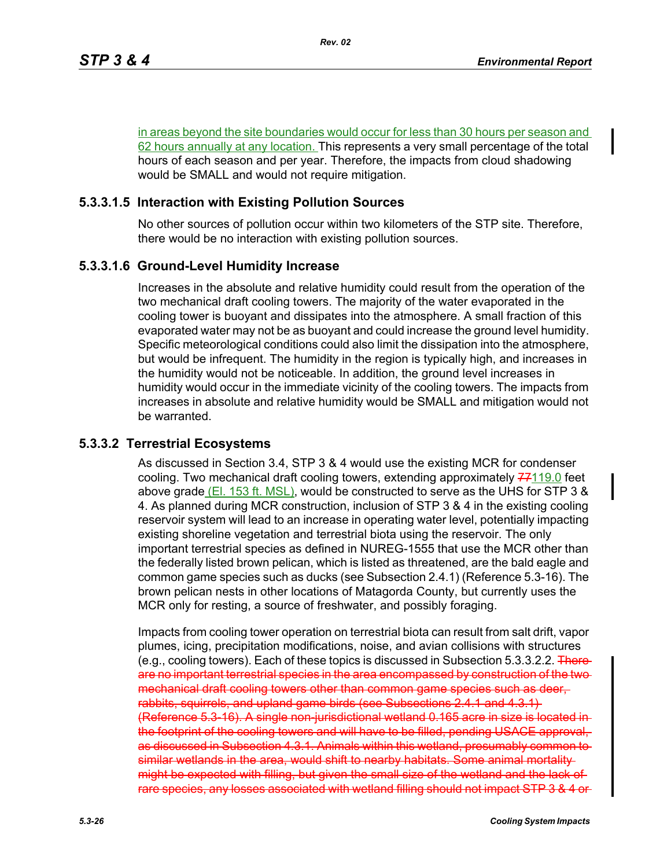in areas beyond the site boundaries would occur for less than 30 hours per season and 62 hours annually at any location. This represents a very small percentage of the total hours of each season and per year. Therefore, the impacts from cloud shadowing would be SMALL and would not require mitigation.

## **5.3.3.1.5 Interaction with Existing Pollution Sources**

No other sources of pollution occur within two kilometers of the STP site. Therefore, there would be no interaction with existing pollution sources.

## **5.3.3.1.6 Ground-Level Humidity Increase**

Increases in the absolute and relative humidity could result from the operation of the two mechanical draft cooling towers. The majority of the water evaporated in the cooling tower is buoyant and dissipates into the atmosphere. A small fraction of this evaporated water may not be as buoyant and could increase the ground level humidity. Specific meteorological conditions could also limit the dissipation into the atmosphere, but would be infrequent. The humidity in the region is typically high, and increases in the humidity would not be noticeable. In addition, the ground level increases in humidity would occur in the immediate vicinity of the cooling towers. The impacts from increases in absolute and relative humidity would be SMALL and mitigation would not be warranted.

## **5.3.3.2 Terrestrial Ecosystems**

As discussed in Section 3.4, STP 3 & 4 would use the existing MCR for condenser cooling. Two mechanical draft cooling towers, extending approximately  $77119.0$  feet above grade (El. 153 ft. MSL), would be constructed to serve as the UHS for STP 3  $\&$ 4. As planned during MCR construction, inclusion of STP 3 & 4 in the existing cooling reservoir system will lead to an increase in operating water level, potentially impacting existing shoreline vegetation and terrestrial biota using the reservoir. The only important terrestrial species as defined in NUREG-1555 that use the MCR other than the federally listed brown pelican, which is listed as threatened, are the bald eagle and common game species such as ducks (see Subsection 2.4.1) (Reference 5.3-16). The brown pelican nests in other locations of Matagorda County, but currently uses the MCR only for resting, a source of freshwater, and possibly foraging.

Impacts from cooling tower operation on terrestrial biota can result from salt drift, vapor plumes, icing, precipitation modifications, noise, and avian collisions with structures (e.g., cooling towers). Each of these topics is discussed in Subsection  $5.3.3.2.2$ . Thereare no important terrestrial species in the area encompassed by construction of the two mechanical draft cooling towers other than common game species such as deer, rabbits, squirrels, and upland game birds (see Subsections 2.4.1 and 4.3.1) (Reference 5.3-16). A single non-jurisdictional wetland 0.165 acre in size is located in the footprint of the cooling towers and will have to be filled, pending USACE approval, as discussed in Subsection 4.3.1. Animals within this wetland, presumably common to similar wetlands in the area, would shift to nearby habitats. Some animal mortality might be expected with filling, but given the small size of the wetland and the lack of rare species, any losses associated with wetland filling should not impact STP 3 & 4 or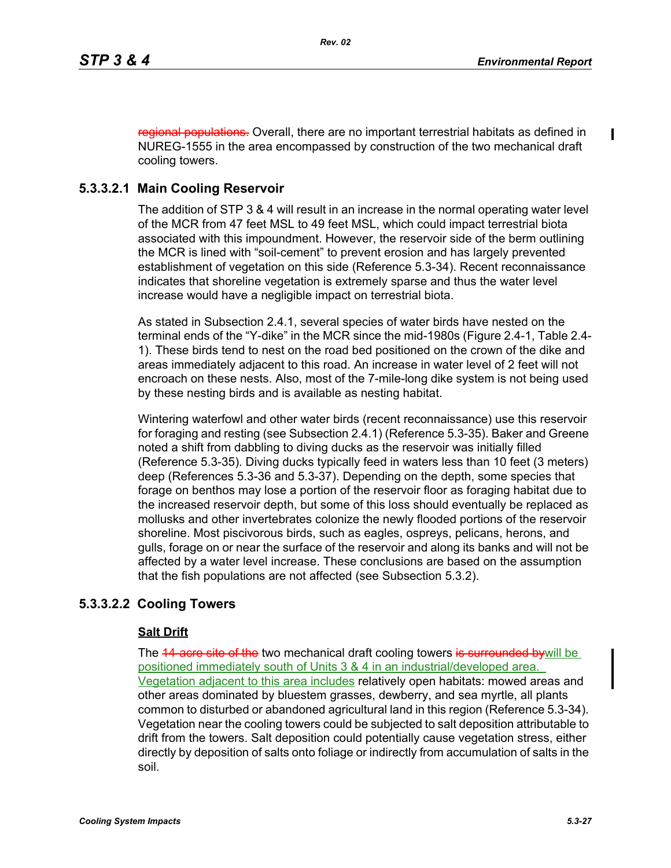regional populations. Overall, there are no important terrestrial habitats as defined in NUREG-1555 in the area encompassed by construction of the two mechanical draft cooling towers.

# **5.3.3.2.1 Main Cooling Reservoir**

The addition of STP 3 & 4 will result in an increase in the normal operating water level of the MCR from 47 feet MSL to 49 feet MSL, which could impact terrestrial biota associated with this impoundment. However, the reservoir side of the berm outlining the MCR is lined with "soil-cement" to prevent erosion and has largely prevented establishment of vegetation on this side (Reference 5.3-34). Recent reconnaissance indicates that shoreline vegetation is extremely sparse and thus the water level increase would have a negligible impact on terrestrial biota.

As stated in Subsection 2.4.1, several species of water birds have nested on the terminal ends of the "Y-dike" in the MCR since the mid-1980s (Figure 2.4-1, Table 2.4- 1). These birds tend to nest on the road bed positioned on the crown of the dike and areas immediately adjacent to this road. An increase in water level of 2 feet will not encroach on these nests. Also, most of the 7-mile-long dike system is not being used by these nesting birds and is available as nesting habitat.

Wintering waterfowl and other water birds (recent reconnaissance) use this reservoir for foraging and resting (see Subsection 2.4.1) (Reference 5.3-35). Baker and Greene noted a shift from dabbling to diving ducks as the reservoir was initially filled (Reference 5.3-35). Diving ducks typically feed in waters less than 10 feet (3 meters) deep (References 5.3-36 and 5.3-37). Depending on the depth, some species that forage on benthos may lose a portion of the reservoir floor as foraging habitat due to the increased reservoir depth, but some of this loss should eventually be replaced as mollusks and other invertebrates colonize the newly flooded portions of the reservoir shoreline. Most piscivorous birds, such as eagles, ospreys, pelicans, herons, and gulls, forage on or near the surface of the reservoir and along its banks and will not be affected by a water level increase. These conclusions are based on the assumption that the fish populations are not affected (see Subsection 5.3.2).

# **5.3.3.2.2 Cooling Towers**

## **Salt Drift**

The 44 acre site of the two mechanical draft cooling towers is surrounded bywill be positioned immediately south of Units 3 & 4 in an industrial/developed area. Vegetation adjacent to this area includes relatively open habitats: mowed areas and other areas dominated by bluestem grasses, dewberry, and sea myrtle, all plants common to disturbed or abandoned agricultural land in this region (Reference 5.3-34). Vegetation near the cooling towers could be subjected to salt deposition attributable to drift from the towers. Salt deposition could potentially cause vegetation stress, either directly by deposition of salts onto foliage or indirectly from accumulation of salts in the soil.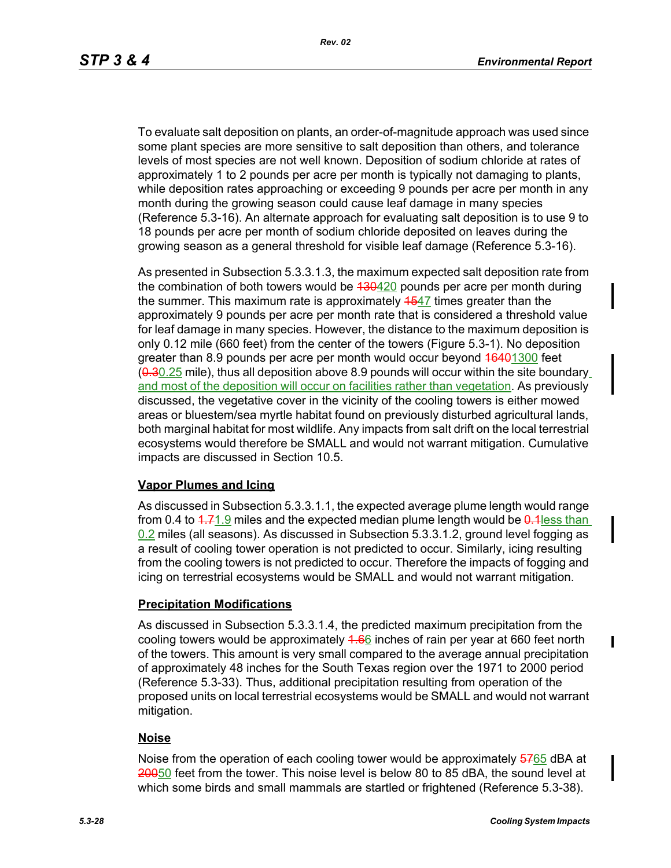To evaluate salt deposition on plants, an order-of-magnitude approach was used since some plant species are more sensitive to salt deposition than others, and tolerance levels of most species are not well known. Deposition of sodium chloride at rates of approximately 1 to 2 pounds per acre per month is typically not damaging to plants, while deposition rates approaching or exceeding 9 pounds per acre per month in any month during the growing season could cause leaf damage in many species (Reference 5.3-16). An alternate approach for evaluating salt deposition is to use 9 to 18 pounds per acre per month of sodium chloride deposited on leaves during the growing season as a general threshold for visible leaf damage (Reference 5.3-16).

As presented in Subsection 5.3.3.1.3, the maximum expected salt deposition rate from the combination of both towers would be  $130420$  pounds per acre per month during the summer. This maximum rate is approximately 4547 times greater than the approximately 9 pounds per acre per month rate that is considered a threshold value for leaf damage in many species. However, the distance to the maximum deposition is only 0.12 mile (660 feet) from the center of the towers (Figure 5.3-1). No deposition greater than 8.9 pounds per acre per month would occur beyond 16401300 feet  $(0.30.25$  mile), thus all deposition above 8.9 pounds will occur within the site boundary and most of the deposition will occur on facilities rather than vegetation. As previously discussed, the vegetative cover in the vicinity of the cooling towers is either mowed areas or bluestem/sea myrtle habitat found on previously disturbed agricultural lands, both marginal habitat for most wildlife. Any impacts from salt drift on the local terrestrial ecosystems would therefore be SMALL and would not warrant mitigation. Cumulative impacts are discussed in Section 10.5.

## **Vapor Plumes and Icing**

As discussed in Subsection 5.3.3.1.1, the expected average plume length would range from 0.4 to  $4.71.9$  miles and the expected median plume length would be  $0.4$  less than 0.2 miles (all seasons). As discussed in Subsection 5.3.3.1.2, ground level fogging as a result of cooling tower operation is not predicted to occur. Similarly, icing resulting from the cooling towers is not predicted to occur. Therefore the impacts of fogging and icing on terrestrial ecosystems would be SMALL and would not warrant mitigation.

## **Precipitation Modifications**

As discussed in Subsection 5.3.3.1.4, the predicted maximum precipitation from the cooling towers would be approximately  $4.66$  inches of rain per year at 660 feet north of the towers. This amount is very small compared to the average annual precipitation of approximately 48 inches for the South Texas region over the 1971 to 2000 period (Reference 5.3-33). Thus, additional precipitation resulting from operation of the proposed units on local terrestrial ecosystems would be SMALL and would not warrant mitigation.

# **Noise**

Noise from the operation of each cooling tower would be approximately 5765 dBA at 20050 feet from the tower. This noise level is below 80 to 85 dBA, the sound level at which some birds and small mammals are startled or frightened (Reference 5.3-38).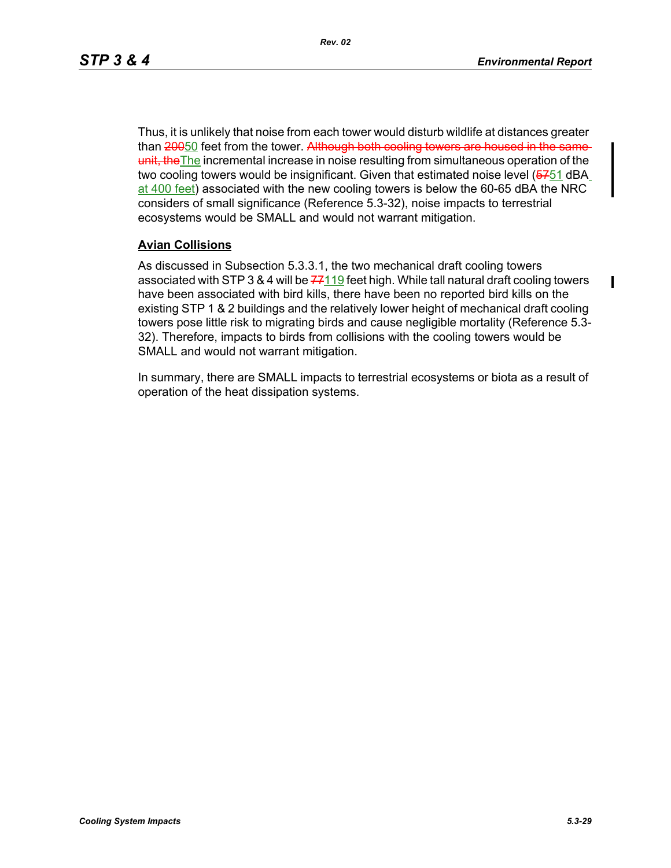П

Thus, it is unlikely that noise from each tower would disturb wildlife at distances greater than 20050 feet from the tower. Although both cooling towers are housed in the sameunit, the The incremental increase in noise resulting from simultaneous operation of the two cooling towers would be insignificant. Given that estimated noise level (5751 dBA at 400 feet) associated with the new cooling towers is below the 60-65 dBA the NRC considers of small significance (Reference 5.3-32), noise impacts to terrestrial ecosystems would be SMALL and would not warrant mitigation.

## **Avian Collisions**

As discussed in Subsection 5.3.3.1, the two mechanical draft cooling towers associated with STP 3 & 4 will be  $77119$  feet high. While tall natural draft cooling towers have been associated with bird kills, there have been no reported bird kills on the existing STP 1 & 2 buildings and the relatively lower height of mechanical draft cooling towers pose little risk to migrating birds and cause negligible mortality (Reference 5.3- 32). Therefore, impacts to birds from collisions with the cooling towers would be SMALL and would not warrant mitigation.

In summary, there are SMALL impacts to terrestrial ecosystems or biota as a result of operation of the heat dissipation systems.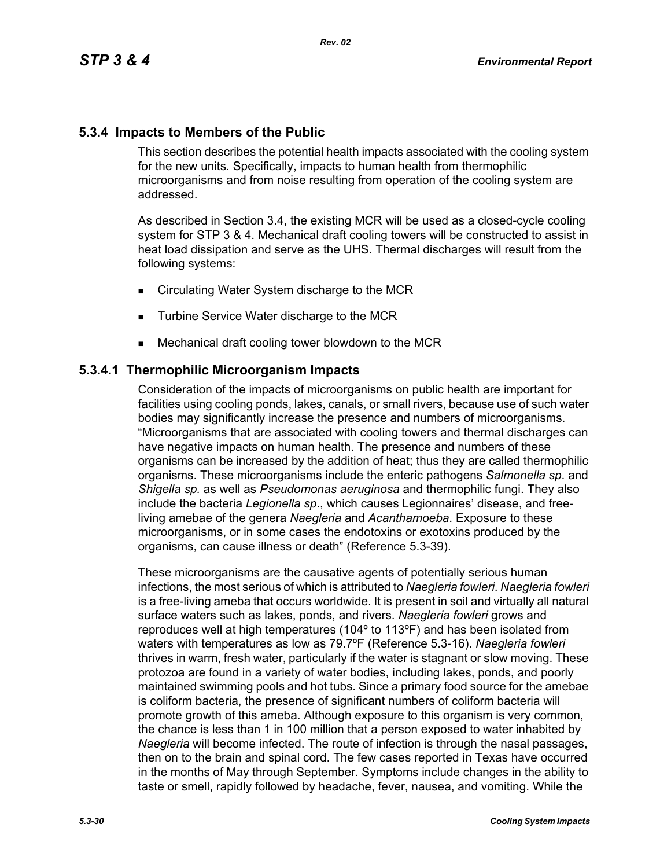# **5.3.4 Impacts to Members of the Public**

This section describes the potential health impacts associated with the cooling system for the new units. Specifically, impacts to human health from thermophilic microorganisms and from noise resulting from operation of the cooling system are addressed.

As described in Section 3.4, the existing MCR will be used as a closed-cycle cooling system for STP 3 & 4. Mechanical draft cooling towers will be constructed to assist in heat load dissipation and serve as the UHS. Thermal discharges will result from the following systems:

- **EXECT** Circulating Water System discharge to the MCR
- **Turbine Service Water discharge to the MCR**
- **Mechanical draft cooling tower blowdown to the MCR**

## **5.3.4.1 Thermophilic Microorganism Impacts**

Consideration of the impacts of microorganisms on public health are important for facilities using cooling ponds, lakes, canals, or small rivers, because use of such water bodies may significantly increase the presence and numbers of microorganisms. "Microorganisms that are associated with cooling towers and thermal discharges can have negative impacts on human health. The presence and numbers of these organisms can be increased by the addition of heat; thus they are called thermophilic organisms. These microorganisms include the enteric pathogens *Salmonella sp*. and *Shigella sp.* as well as *Pseudomonas aeruginosa* and thermophilic fungi. They also include the bacteria *Legionella sp*., which causes Legionnaires' disease, and freeliving amebae of the genera *Naegleria* and *Acanthamoeba*. Exposure to these microorganisms, or in some cases the endotoxins or exotoxins produced by the organisms, can cause illness or death" (Reference 5.3-39).

These microorganisms are the causative agents of potentially serious human infections, the most serious of which is attributed to *Naegleria fowleri*. *Naegleria fowleri* is a free-living ameba that occurs worldwide. It is present in soil and virtually all natural surface waters such as lakes, ponds, and rivers. *Naegleria fowleri* grows and reproduces well at high temperatures (104º to 113ºF) and has been isolated from waters with temperatures as low as 79.7ºF (Reference 5.3-16). *Naegleria fowleri* thrives in warm, fresh water, particularly if the water is stagnant or slow moving. These protozoa are found in a variety of water bodies, including lakes, ponds, and poorly maintained swimming pools and hot tubs. Since a primary food source for the amebae is coliform bacteria, the presence of significant numbers of coliform bacteria will promote growth of this ameba. Although exposure to this organism is very common, the chance is less than 1 in 100 million that a person exposed to water inhabited by *Naegleria* will become infected. The route of infection is through the nasal passages, then on to the brain and spinal cord. The few cases reported in Texas have occurred in the months of May through September. Symptoms include changes in the ability to taste or smell, rapidly followed by headache, fever, nausea, and vomiting. While the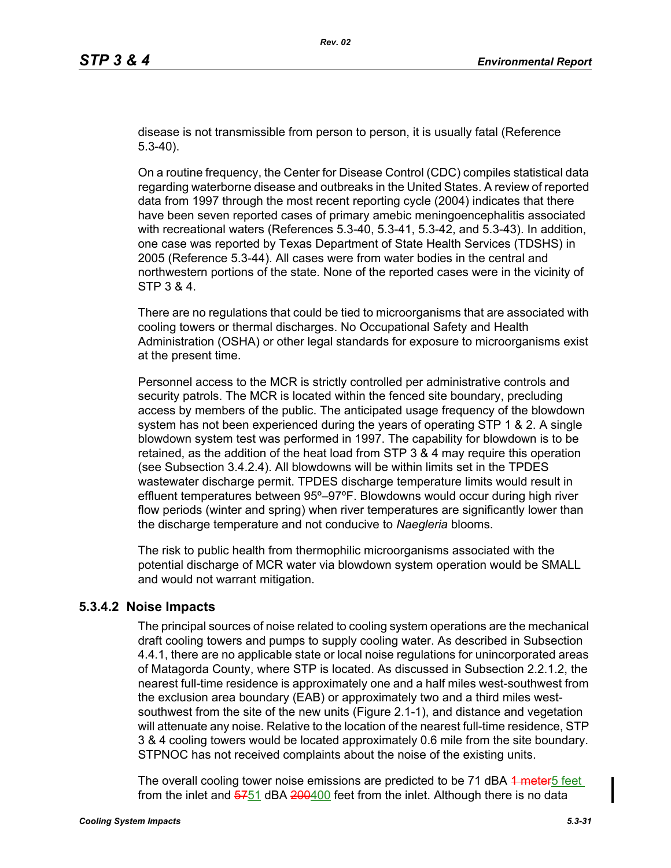disease is not transmissible from person to person, it is usually fatal (Reference 5.3-40).

On a routine frequency, the Center for Disease Control (CDC) compiles statistical data regarding waterborne disease and outbreaks in the United States. A review of reported data from 1997 through the most recent reporting cycle (2004) indicates that there have been seven reported cases of primary amebic meningoencephalitis associated with recreational waters (References 5.3-40, 5.3-41, 5.3-42, and 5.3-43). In addition, one case was reported by Texas Department of State Health Services (TDSHS) in 2005 (Reference 5.3-44). All cases were from water bodies in the central and northwestern portions of the state. None of the reported cases were in the vicinity of STP 3 & 4.

There are no regulations that could be tied to microorganisms that are associated with cooling towers or thermal discharges. No Occupational Safety and Health Administration (OSHA) or other legal standards for exposure to microorganisms exist at the present time.

Personnel access to the MCR is strictly controlled per administrative controls and security patrols. The MCR is located within the fenced site boundary, precluding access by members of the public. The anticipated usage frequency of the blowdown system has not been experienced during the years of operating STP 1 & 2. A single blowdown system test was performed in 1997. The capability for blowdown is to be retained, as the addition of the heat load from STP 3 & 4 may require this operation (see Subsection 3.4.2.4). All blowdowns will be within limits set in the TPDES wastewater discharge permit. TPDES discharge temperature limits would result in effluent temperatures between 95º–97ºF. Blowdowns would occur during high river flow periods (winter and spring) when river temperatures are significantly lower than the discharge temperature and not conducive to *Naegleria* blooms.

The risk to public health from thermophilic microorganisms associated with the potential discharge of MCR water via blowdown system operation would be SMALL and would not warrant mitigation.

## **5.3.4.2 Noise Impacts**

The principal sources of noise related to cooling system operations are the mechanical draft cooling towers and pumps to supply cooling water. As described in Subsection 4.4.1, there are no applicable state or local noise regulations for unincorporated areas of Matagorda County, where STP is located. As discussed in Subsection 2.2.1.2, the nearest full-time residence is approximately one and a half miles west-southwest from the exclusion area boundary (EAB) or approximately two and a third miles westsouthwest from the site of the new units (Figure 2.1-1), and distance and vegetation will attenuate any noise. Relative to the location of the nearest full-time residence, STP 3 & 4 cooling towers would be located approximately 0.6 mile from the site boundary. STPNOC has not received complaints about the noise of the existing units.

The overall cooling tower noise emissions are predicted to be 71 dBA 4 meter 5 feet from the inlet and  $\frac{6751}{640400}$  feet from the inlet. Although there is no data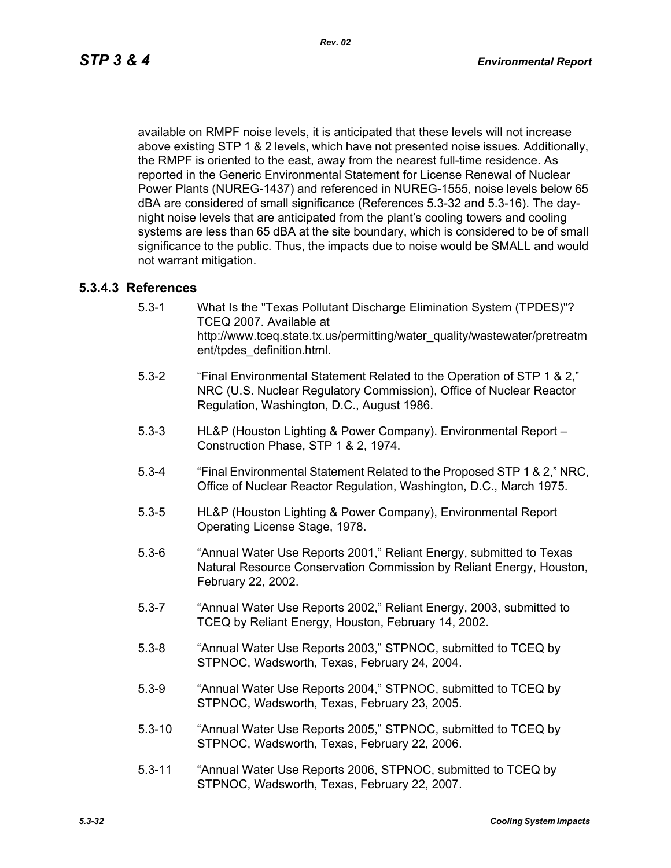available on RMPF noise levels, it is anticipated that these levels will not increase above existing STP 1 & 2 levels, which have not presented noise issues. Additionally, the RMPF is oriented to the east, away from the nearest full-time residence. As reported in the Generic Environmental Statement for License Renewal of Nuclear Power Plants (NUREG-1437) and referenced in NUREG-1555, noise levels below 65 dBA are considered of small significance (References 5.3-32 and 5.3-16). The daynight noise levels that are anticipated from the plant's cooling towers and cooling systems are less than 65 dBA at the site boundary, which is considered to be of small significance to the public. Thus, the impacts due to noise would be SMALL and would not warrant mitigation.

## **5.3.4.3 References**

- 5.3-1 What Is the "Texas Pollutant Discharge Elimination System (TPDES)"? TCEQ 2007. Available at http://www.tceq.state.tx.us/permitting/water\_quality/wastewater/pretreatm ent/tpdes\_definition.html.
- 5.3-2 "Final Environmental Statement Related to the Operation of STP 1 & 2," NRC (U.S. Nuclear Regulatory Commission), Office of Nuclear Reactor Regulation, Washington, D.C., August 1986.
- 5.3-3 HL&P (Houston Lighting & Power Company). Environmental Report Construction Phase, STP 1 & 2, 1974.
- 5.3-4 "Final Environmental Statement Related to the Proposed STP 1 & 2," NRC, Office of Nuclear Reactor Regulation, Washington, D.C., March 1975.
- 5.3-5 HL&P (Houston Lighting & Power Company), Environmental Report Operating License Stage, 1978.
- 5.3-6 "Annual Water Use Reports 2001," Reliant Energy, submitted to Texas Natural Resource Conservation Commission by Reliant Energy, Houston, February 22, 2002.
- 5.3-7 "Annual Water Use Reports 2002," Reliant Energy, 2003, submitted to TCEQ by Reliant Energy, Houston, February 14, 2002.
- 5.3-8 "Annual Water Use Reports 2003," STPNOC, submitted to TCEQ by STPNOC, Wadsworth, Texas, February 24, 2004.
- 5.3-9 "Annual Water Use Reports 2004," STPNOC, submitted to TCEQ by STPNOC, Wadsworth, Texas, February 23, 2005.
- 5.3-10 "Annual Water Use Reports 2005," STPNOC, submitted to TCEQ by STPNOC, Wadsworth, Texas, February 22, 2006.
- 5.3-11 "Annual Water Use Reports 2006, STPNOC, submitted to TCEQ by STPNOC, Wadsworth, Texas, February 22, 2007.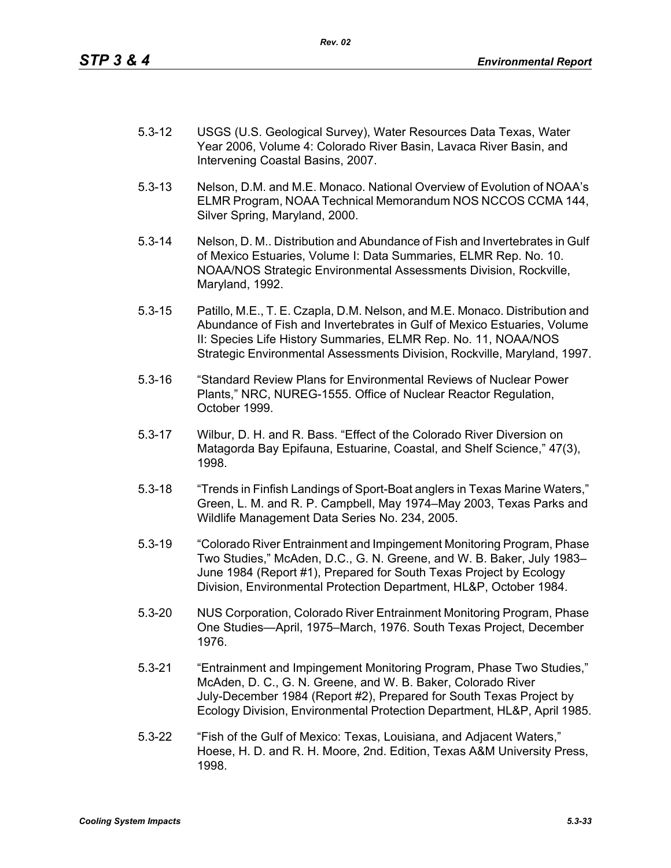- 5.3-12 USGS (U.S. Geological Survey), Water Resources Data Texas, Water Year 2006, Volume 4: Colorado River Basin, Lavaca River Basin, and Intervening Coastal Basins, 2007.
- 5.3-13 Nelson, D.M. and M.E. Monaco. National Overview of Evolution of NOAA's ELMR Program, NOAA Technical Memorandum NOS NCCOS CCMA 144, Silver Spring, Maryland, 2000.
- 5.3-14 Nelson, D. M.. Distribution and Abundance of Fish and Invertebrates in Gulf of Mexico Estuaries, Volume I: Data Summaries, ELMR Rep. No. 10. NOAA/NOS Strategic Environmental Assessments Division, Rockville, Maryland, 1992.
- 5.3-15 Patillo, M.E., T. E. Czapla, D.M. Nelson, and M.E. Monaco. Distribution and Abundance of Fish and Invertebrates in Gulf of Mexico Estuaries, Volume II: Species Life History Summaries, ELMR Rep. No. 11, NOAA/NOS Strategic Environmental Assessments Division, Rockville, Maryland, 1997.
- 5.3-16 "Standard Review Plans for Environmental Reviews of Nuclear Power Plants," NRC, NUREG-1555. Office of Nuclear Reactor Regulation, October 1999.
- 5.3-17 Wilbur, D. H. and R. Bass. "Effect of the Colorado River Diversion on Matagorda Bay Epifauna, Estuarine, Coastal, and Shelf Science," 47(3), 1998.
- 5.3-18 "Trends in Finfish Landings of Sport-Boat anglers in Texas Marine Waters," Green, L. M. and R. P. Campbell, May 1974–May 2003, Texas Parks and Wildlife Management Data Series No. 234, 2005.
- 5.3-19 "Colorado River Entrainment and Impingement Monitoring Program, Phase Two Studies," McAden, D.C., G. N. Greene, and W. B. Baker, July 1983– June 1984 (Report #1), Prepared for South Texas Project by Ecology Division, Environmental Protection Department, HL&P, October 1984.
- 5.3-20 NUS Corporation, Colorado River Entrainment Monitoring Program, Phase One Studies—April, 1975–March, 1976. South Texas Project, December 1976.
- 5.3-21 "Entrainment and Impingement Monitoring Program, Phase Two Studies," McAden, D. C., G. N. Greene, and W. B. Baker, Colorado River July-December 1984 (Report #2), Prepared for South Texas Project by Ecology Division, Environmental Protection Department, HL&P, April 1985.
- 5.3-22 "Fish of the Gulf of Mexico: Texas, Louisiana, and Adjacent Waters," Hoese, H. D. and R. H. Moore, 2nd. Edition, Texas A&M University Press, 1998.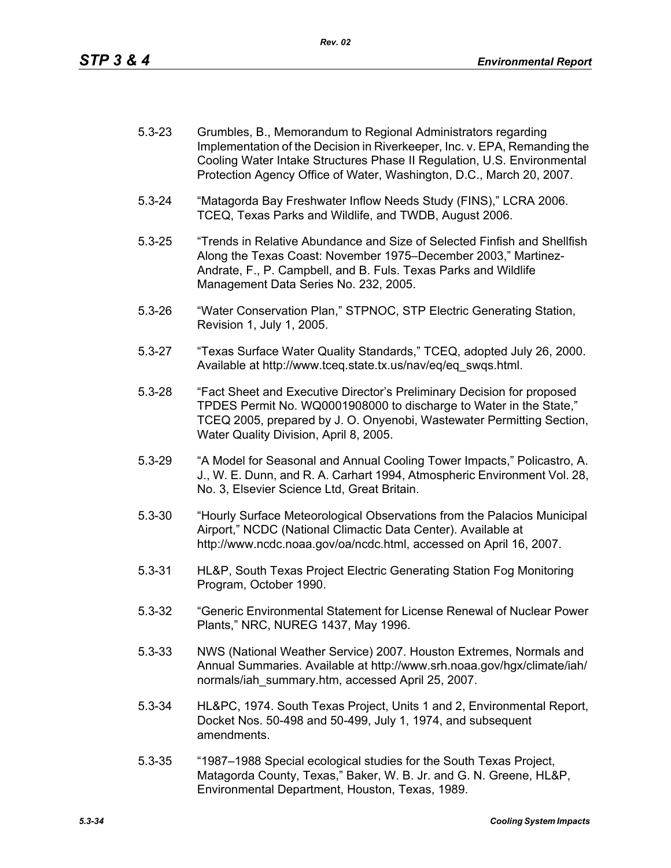- 5.3-23 Grumbles, B., Memorandum to Regional Administrators regarding Implementation of the Decision in Riverkeeper, Inc. v. EPA, Remanding the Cooling Water Intake Structures Phase II Regulation, U.S. Environmental Protection Agency Office of Water, Washington, D.C., March 20, 2007.
- 5.3-24 "Matagorda Bay Freshwater Inflow Needs Study (FINS)," LCRA 2006. TCEQ, Texas Parks and Wildlife, and TWDB, August 2006.
- 5.3-25 "Trends in Relative Abundance and Size of Selected Finfish and Shellfish Along the Texas Coast: November 1975–December 2003," Martinez-Andrate, F., P. Campbell, and B. Fuls. Texas Parks and Wildlife Management Data Series No. 232, 2005.
- 5.3-26 "Water Conservation Plan," STPNOC, STP Electric Generating Station, Revision 1, July 1, 2005.
- 5.3-27 "Texas Surface Water Quality Standards," TCEQ, adopted July 26, 2000. Available at http://www.tceq.state.tx.us/nav/eq/eq\_swqs.html.
- 5.3-28 "Fact Sheet and Executive Director's Preliminary Decision for proposed TPDES Permit No. WQ0001908000 to discharge to Water in the State," TCEQ 2005, prepared by J. O. Onyenobi, Wastewater Permitting Section, Water Quality Division, April 8, 2005.
- 5.3-29 "A Model for Seasonal and Annual Cooling Tower Impacts," Policastro, A. J., W. E. Dunn, and R. A. Carhart 1994, Atmospheric Environment Vol. 28, No. 3, Elsevier Science Ltd, Great Britain.
- 5.3-30 "Hourly Surface Meteorological Observations from the Palacios Municipal Airport," NCDC (National Climactic Data Center). Available at http://www.ncdc.noaa.gov/oa/ncdc.html, accessed on April 16, 2007.
- 5.3-31 HL&P, South Texas Project Electric Generating Station Fog Monitoring Program, October 1990.
- 5.3-32 "Generic Environmental Statement for License Renewal of Nuclear Power Plants," NRC, NUREG 1437, May 1996.
- 5.3-33 NWS (National Weather Service) 2007. Houston Extremes, Normals and Annual Summaries. Available at http://www.srh.noaa.gov/hgx/climate/iah/ normals/iah\_summary.htm, accessed April 25, 2007.
- 5.3-34 HL&PC, 1974. South Texas Project, Units 1 and 2, Environmental Report, Docket Nos. 50-498 and 50-499, July 1, 1974, and subsequent amendments.
- 5.3-35 "1987–1988 Special ecological studies for the South Texas Project, Matagorda County, Texas," Baker, W. B. Jr. and G. N. Greene, HL&P, Environmental Department, Houston, Texas, 1989.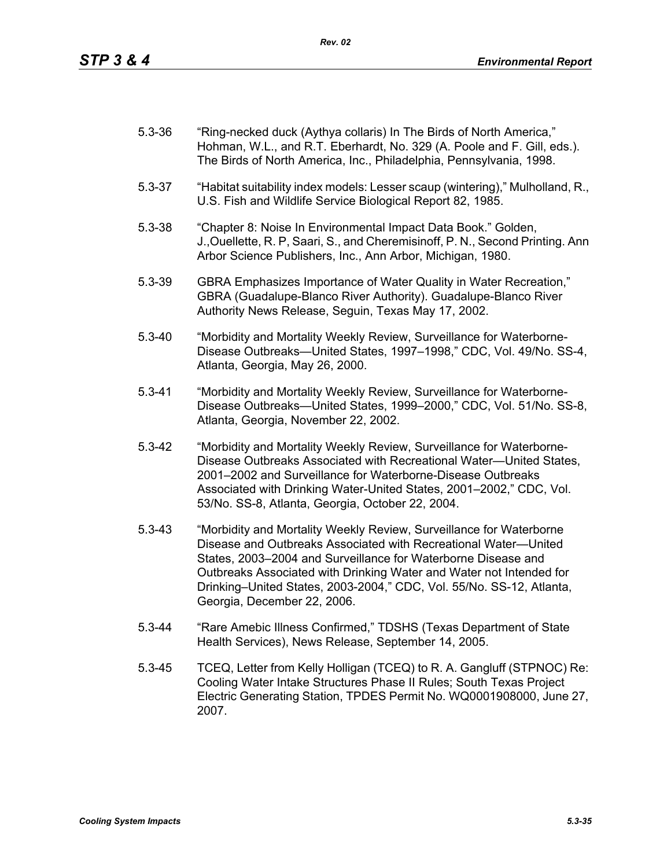| $5.3 - 36$ | "Ring-necked duck (Aythya collaris) In The Birds of North America,"<br>Hohman, W.L., and R.T. Eberhardt, No. 329 (A. Poole and F. Gill, eds.).<br>The Birds of North America, Inc., Philadelphia, Pennsylvania, 1998.                                                                                                                                                                 |
|------------|---------------------------------------------------------------------------------------------------------------------------------------------------------------------------------------------------------------------------------------------------------------------------------------------------------------------------------------------------------------------------------------|
| $5.3 - 37$ | "Habitat suitability index models: Lesser scaup (wintering)," Mulholland, R.,<br>U.S. Fish and Wildlife Service Biological Report 82, 1985.                                                                                                                                                                                                                                           |
| $5.3 - 38$ | "Chapter 8: Noise In Environmental Impact Data Book." Golden,<br>J., Ouellette, R. P, Saari, S., and Cheremisinoff, P. N., Second Printing. Ann<br>Arbor Science Publishers, Inc., Ann Arbor, Michigan, 1980.                                                                                                                                                                         |
| $5.3 - 39$ | GBRA Emphasizes Importance of Water Quality in Water Recreation,"<br>GBRA (Guadalupe-Blanco River Authority). Guadalupe-Blanco River<br>Authority News Release, Seguin, Texas May 17, 2002.                                                                                                                                                                                           |
| $5.3 - 40$ | "Morbidity and Mortality Weekly Review, Surveillance for Waterborne-<br>Disease Outbreaks-United States, 1997-1998," CDC, Vol. 49/No. SS-4,<br>Atlanta, Georgia, May 26, 2000.                                                                                                                                                                                                        |
| $5.3 - 41$ | "Morbidity and Mortality Weekly Review, Surveillance for Waterborne-<br>Disease Outbreaks-United States, 1999-2000," CDC, Vol. 51/No. SS-8,<br>Atlanta, Georgia, November 22, 2002.                                                                                                                                                                                                   |
| $5.3 - 42$ | "Morbidity and Mortality Weekly Review, Surveillance for Waterborne-<br>Disease Outbreaks Associated with Recreational Water-United States,<br>2001-2002 and Surveillance for Waterborne-Disease Outbreaks<br>Associated with Drinking Water-United States, 2001-2002," CDC, Vol.<br>53/No. SS-8, Atlanta, Georgia, October 22, 2004.                                                 |
| $5.3 - 43$ | "Morbidity and Mortality Weekly Review, Surveillance for Waterborne<br>Disease and Outbreaks Associated with Recreational Water-United<br>States, 2003-2004 and Surveillance for Waterborne Disease and<br>Outbreaks Associated with Drinking Water and Water not Intended for<br>Drinking-United States, 2003-2004," CDC, Vol. 55/No. SS-12, Atlanta,<br>Georgia, December 22, 2006. |
| $5.3 - 44$ | "Rare Amebic Illness Confirmed," TDSHS (Texas Department of State<br>Health Services), News Release, September 14, 2005.                                                                                                                                                                                                                                                              |

5.3-45 TCEQ, Letter from Kelly Holligan (TCEQ) to R. A. Gangluff (STPNOC) Re: Cooling Water Intake Structures Phase II Rules; South Texas Project Electric Generating Station, TPDES Permit No. WQ0001908000, June 27, 2007.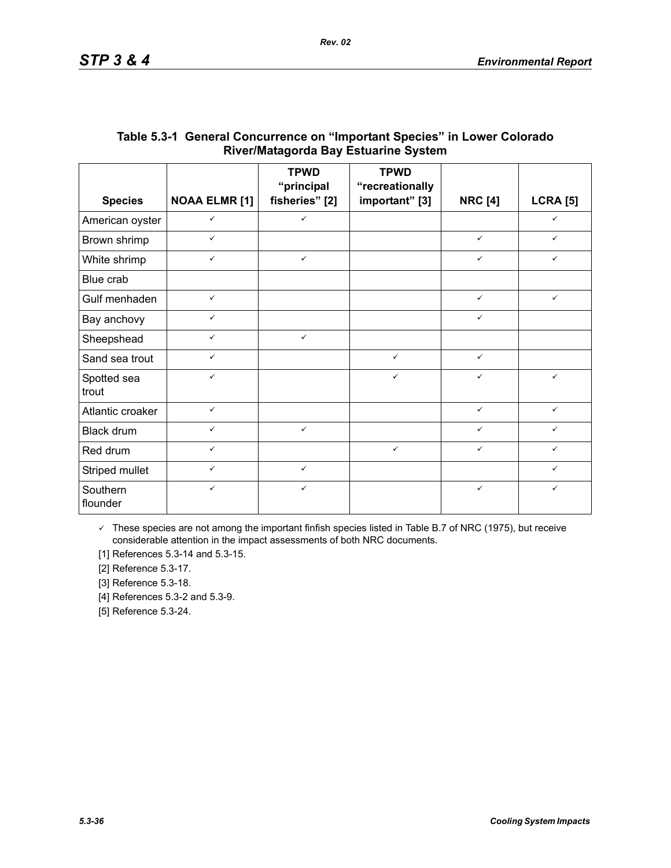|                      |                      | <b>TPWD</b><br>"principal | <b>TPWD</b><br>"recreationally |                |                 |
|----------------------|----------------------|---------------------------|--------------------------------|----------------|-----------------|
| <b>Species</b>       | <b>NOAA ELMR [1]</b> | fisheries" [2]            | important" [3]                 | <b>NRC [4]</b> | <b>LCRA [5]</b> |
| American oyster      | $\checkmark$         | $\checkmark$              |                                |                | $\checkmark$    |
| Brown shrimp         | $\checkmark$         |                           |                                | $\checkmark$   | $\checkmark$    |
| White shrimp         | $\checkmark$         | $\checkmark$              |                                | $\checkmark$   | ✓               |
| Blue crab            |                      |                           |                                |                |                 |
| Gulf menhaden        | $\checkmark$         |                           |                                | $\checkmark$   | $\checkmark$    |
| Bay anchovy          | $\checkmark$         |                           |                                | $\checkmark$   |                 |
| Sheepshead           | $\checkmark$         | $\checkmark$              |                                |                |                 |
| Sand sea trout       | $\checkmark$         |                           | $\checkmark$                   | $\checkmark$   |                 |
| Spotted sea<br>trout | $\checkmark$         |                           | $\checkmark$                   | $\checkmark$   | $\checkmark$    |
| Atlantic croaker     | $\checkmark$         |                           |                                | $\checkmark$   | $\checkmark$    |
| Black drum           | $\checkmark$         | $\checkmark$              |                                | $\checkmark$   | ✓               |
| Red drum             | $\checkmark$         |                           | $\checkmark$                   | $\checkmark$   | ✓               |
| Striped mullet       | $\checkmark$         | $\checkmark$              |                                |                | $\checkmark$    |
| Southern<br>flounder | $\checkmark$         | $\checkmark$              |                                | $\checkmark$   | $\checkmark$    |

## **Table 5.3-1 General Concurrence on "Important Species" in Lower Colorado River/Matagorda Bay Estuarine System**

 $\checkmark$  These species are not among the important finfish species listed in Table B.7 of NRC (1975), but receive considerable attention in the impact assessments of both NRC documents.

[1] References 5.3-14 and 5.3-15.

[2] Reference 5.3-17.

[3] Reference 5.3-18.

[4] References 5.3-2 and 5.3-9.

[5] Reference 5.3-24.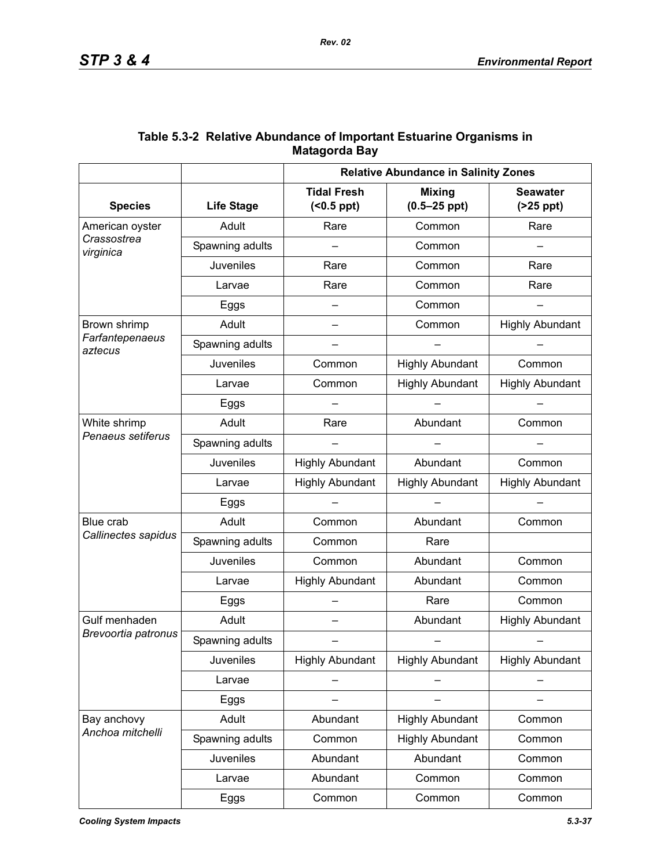|                            | <b>Relative Abundance in Salinity Zones</b> |                                         |                                   |                               |
|----------------------------|---------------------------------------------|-----------------------------------------|-----------------------------------|-------------------------------|
| <b>Species</b>             | <b>Life Stage</b>                           | <b>Tidal Fresh</b><br>$( < 0.5$ ppt $)$ | <b>Mixing</b><br>$(0.5 - 25$ ppt) | <b>Seawater</b><br>$(25$ ppt) |
| American oyster            | Adult                                       | Rare                                    | Common                            | Rare                          |
| Crassostrea<br>virginica   | Spawning adults                             |                                         | Common                            |                               |
|                            | <b>Juveniles</b>                            | Rare                                    | Common                            | Rare                          |
|                            | Larvae                                      | Rare                                    | Common                            | Rare                          |
|                            | Eggs                                        | $\overline{\phantom{0}}$                | Common                            |                               |
| Brown shrimp               | Adult                                       | $\overline{\phantom{0}}$                | Common                            | <b>Highly Abundant</b>        |
| Farfantepenaeus<br>aztecus | Spawning adults                             |                                         |                                   |                               |
|                            | Juveniles                                   | Common                                  | <b>Highly Abundant</b>            | Common                        |
|                            | Larvae                                      | Common                                  | <b>Highly Abundant</b>            | <b>Highly Abundant</b>        |
|                            | Eggs                                        |                                         |                                   |                               |
| White shrimp               | Adult                                       | Rare                                    | Abundant                          | Common                        |
| Penaeus setiferus          | Spawning adults                             |                                         |                                   |                               |
|                            | <b>Juveniles</b>                            | <b>Highly Abundant</b>                  | Abundant                          | Common                        |
|                            | Larvae                                      | <b>Highly Abundant</b>                  | <b>Highly Abundant</b>            | <b>Highly Abundant</b>        |
|                            | Eggs                                        |                                         |                                   |                               |
| Blue crab                  | Adult                                       | Common                                  | Abundant                          | Common                        |
| Callinectes sapidus        | Spawning adults                             | Common                                  | Rare                              |                               |
|                            | Juveniles                                   | Common                                  | Abundant                          | Common                        |
|                            | Larvae                                      | <b>Highly Abundant</b>                  | Abundant                          | Common                        |
|                            | Eggs                                        |                                         | Rare                              | Common                        |
| Gulf menhaden              | Adult                                       |                                         | Abundant                          | <b>Highly Abundant</b>        |
| Brevoortia patronus        | Spawning adults                             |                                         |                                   |                               |
|                            | <b>Juveniles</b>                            | <b>Highly Abundant</b>                  | <b>Highly Abundant</b>            | <b>Highly Abundant</b>        |
|                            | Larvae                                      |                                         |                                   |                               |
|                            | Eggs                                        |                                         |                                   |                               |
| Bay anchovy                | Adult                                       | Abundant                                | <b>Highly Abundant</b>            | Common                        |
| Anchoa mitchelli           | Spawning adults                             | Common                                  | <b>Highly Abundant</b>            | Common                        |
|                            | Juveniles                                   | Abundant                                | Abundant                          | Common                        |
|                            | Larvae                                      | Abundant                                | Common                            | Common                        |
|                            | Eggs                                        | Common                                  | Common                            | Common                        |

## **Table 5.3-2 Relative Abundance of Important Estuarine Organisms in Matagorda Bay**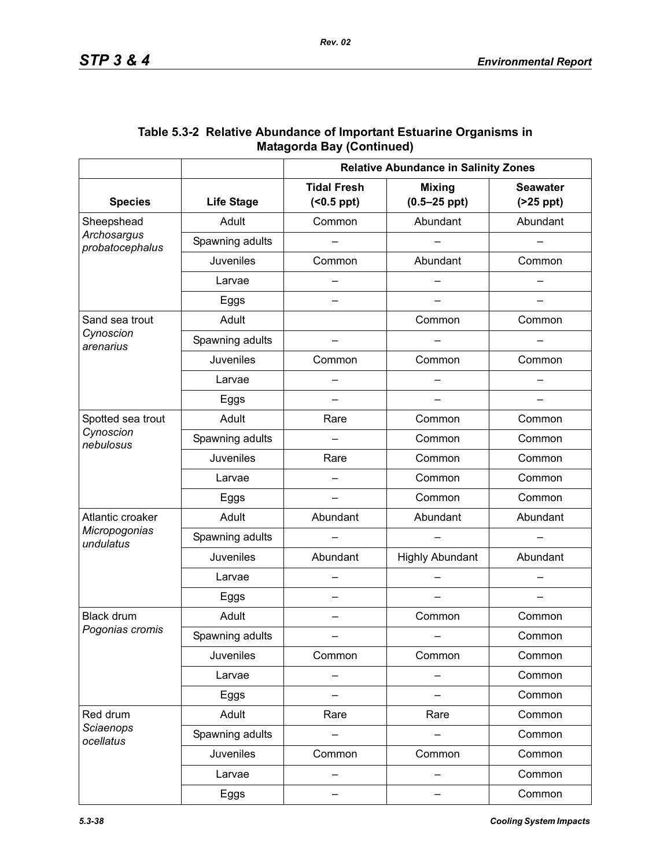|                                             | <b>Relative Abundance in Salinity Zones</b> |                                         |                                   |                               |  |
|---------------------------------------------|---------------------------------------------|-----------------------------------------|-----------------------------------|-------------------------------|--|
| <b>Species</b>                              | <b>Life Stage</b>                           | <b>Tidal Fresh</b><br>$( < 0.5$ ppt $)$ | <b>Mixing</b><br>$(0.5 - 25$ ppt) | <b>Seawater</b><br>$(25$ ppt) |  |
| Sheepshead                                  | Adult                                       | Common                                  | Abundant                          | Abundant                      |  |
| Archosargus<br>probatocephalus              | Spawning adults                             |                                         |                                   |                               |  |
|                                             | <b>Juveniles</b>                            | Common                                  | Abundant                          | Common                        |  |
|                                             | Larvae                                      |                                         |                                   |                               |  |
|                                             | Eggs                                        |                                         |                                   |                               |  |
| Sand sea trout                              | Adult                                       |                                         | Common                            | Common                        |  |
| Cynoscion<br>arenarius                      | Spawning adults                             |                                         |                                   |                               |  |
|                                             | Juveniles                                   | Common                                  | Common                            | Common                        |  |
|                                             | Larvae                                      |                                         |                                   |                               |  |
|                                             | Eggs                                        |                                         |                                   |                               |  |
| Spotted sea trout<br>Cynoscion<br>nebulosus | Adult                                       | Rare                                    | Common                            | Common                        |  |
|                                             | Spawning adults                             |                                         | Common                            | Common                        |  |
|                                             | <b>Juveniles</b>                            | Rare                                    | Common                            | Common                        |  |
|                                             | Larvae                                      |                                         | Common                            | Common                        |  |
|                                             | Eggs                                        |                                         | Common                            | Common                        |  |
| Atlantic croaker                            | Adult                                       | Abundant                                | Abundant                          | Abundant                      |  |
| Micropogonias<br>undulatus                  | Spawning adults                             |                                         |                                   |                               |  |
|                                             | <b>Juveniles</b>                            | Abundant                                | <b>Highly Abundant</b>            | Abundant                      |  |
|                                             | Larvae                                      |                                         |                                   |                               |  |
|                                             | Eggs                                        | —                                       |                                   |                               |  |
| Black drum                                  | Adult                                       | —                                       | Common                            | Common                        |  |
| Pogonias cromis                             | Spawning adults                             |                                         |                                   | Common                        |  |
|                                             | Juveniles                                   | Common                                  | Common                            | Common                        |  |
|                                             | Larvae                                      | —                                       |                                   | Common                        |  |
|                                             | Eggs                                        |                                         |                                   | Common                        |  |
| Red drum                                    | Adult                                       | Rare                                    | Rare                              | Common                        |  |
| Sciaenops<br>ocellatus                      | Spawning adults                             |                                         |                                   | Common                        |  |
|                                             | Juveniles                                   | Common                                  | Common                            | Common                        |  |
|                                             | Larvae                                      |                                         |                                   | Common                        |  |
|                                             | Eggs                                        | -                                       | -                                 | Common                        |  |

## **Table 5.3-2 Relative Abundance of Important Estuarine Organisms in Matagorda Bay (Continued)**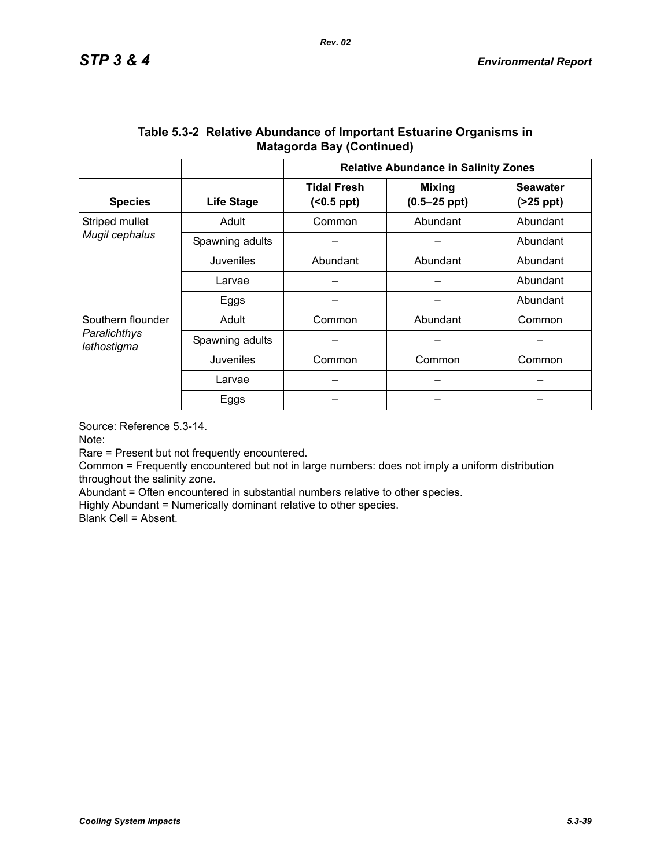|                                  |                   | <b>Relative Abundance in Salinity Zones</b> |                                   |                               |  |  |
|----------------------------------|-------------------|---------------------------------------------|-----------------------------------|-------------------------------|--|--|
| <b>Species</b>                   | <b>Life Stage</b> | <b>Tidal Fresh</b><br>(                     | <b>Mixing</b><br>$(0.5 - 25$ ppt) | <b>Seawater</b><br>$(25$ ppt) |  |  |
| Striped mullet<br>Mugil cephalus | Adult             | Common                                      | Abundant                          | Abundant                      |  |  |
|                                  | Spawning adults   |                                             |                                   | Abundant                      |  |  |
|                                  | Juveniles         | Abundant                                    | Abundant                          | Abundant                      |  |  |
|                                  | Larvae            |                                             |                                   | Abundant                      |  |  |
|                                  | Eggs              |                                             |                                   | Abundant                      |  |  |
| Southern flounder                | Adult             | Common                                      | Abundant                          | Common                        |  |  |
| Paralichthys<br>lethostigma      | Spawning adults   |                                             |                                   |                               |  |  |
|                                  | Juveniles         | Common                                      | Common                            | Common                        |  |  |
|                                  | Larvae            |                                             |                                   |                               |  |  |
|                                  | Eggs              |                                             |                                   |                               |  |  |

## **Table 5.3-2 Relative Abundance of Important Estuarine Organisms in Matagorda Bay (Continued)**

Source: Reference 5.3-14.

Note:

Rare = Present but not frequently encountered.

Common = Frequently encountered but not in large numbers: does not imply a uniform distribution throughout the salinity zone.

Abundant = Often encountered in substantial numbers relative to other species.

Highly Abundant = Numerically dominant relative to other species.

Blank Cell = Absent.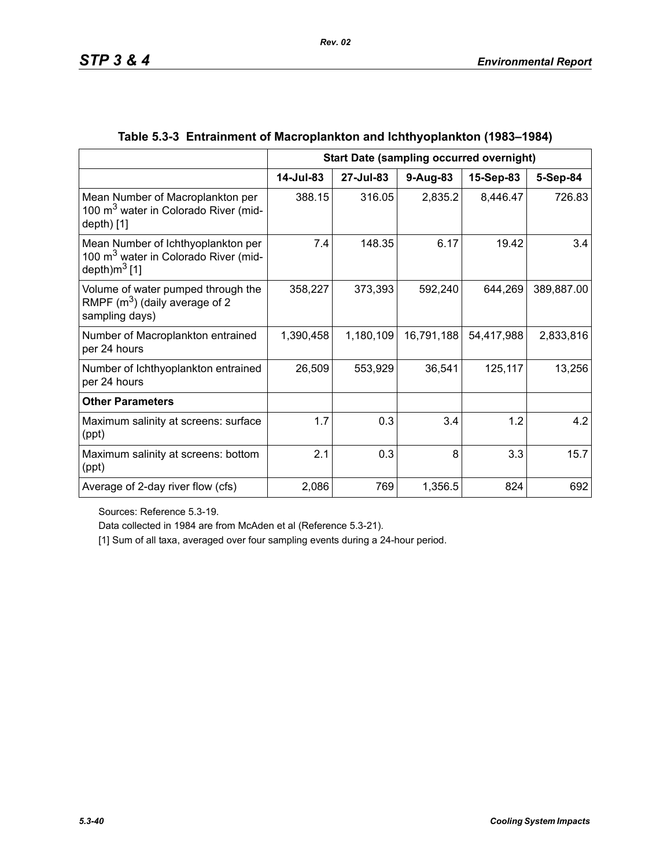|                                                                                                                    |           | <b>Start Date (sampling occurred overnight)</b> |            |            |            |
|--------------------------------------------------------------------------------------------------------------------|-----------|-------------------------------------------------|------------|------------|------------|
|                                                                                                                    | 14-Jul-83 | 27-Jul-83                                       | 9-Aug-83   | 15-Sep-83  | 5-Sep-84   |
| Mean Number of Macroplankton per<br>100 m <sup>3</sup> water in Colorado River (mid-<br>depth $[1]$                | 388.15    | 316.05                                          | 2,835.2    | 8,446.47   | 726.83     |
| Mean Number of Ichthyoplankton per<br>100 m <sup>3</sup> water in Colorado River (mid-<br>depth)m <sup>3</sup> [1] | 7.4       | 148.35                                          | 6.17       | 19.42      | 3.4        |
| Volume of water pumped through the<br>RMPF $(m^3)$ (daily average of 2<br>sampling days)                           | 358,227   | 373,393                                         | 592,240    | 644,269    | 389,887.00 |
| Number of Macroplankton entrained<br>per 24 hours                                                                  | 1,390,458 | 1,180,109                                       | 16,791,188 | 54,417,988 | 2,833,816  |
| Number of Ichthyoplankton entrained<br>per 24 hours                                                                | 26,509    | 553,929                                         | 36,541     | 125,117    | 13,256     |
| <b>Other Parameters</b>                                                                                            |           |                                                 |            |            |            |
| Maximum salinity at screens: surface<br>(ppt)                                                                      | 1.7       | 0.3                                             | 3.4        | 1.2        | 4.2        |
| Maximum salinity at screens: bottom<br>(ppt)                                                                       | 2.1       | 0.3                                             | 8          | 3.3        | 15.7       |
| Average of 2-day river flow (cfs)                                                                                  | 2,086     | 769                                             | 1,356.5    | 824        | 692        |

# **Table 5.3-3 Entrainment of Macroplankton and Ichthyoplankton (1983–1984)**

*Rev. 02*

Sources: Reference 5.3-19.

Data collected in 1984 are from McAden et al (Reference 5.3-21).

[1] Sum of all taxa, averaged over four sampling events during a 24-hour period.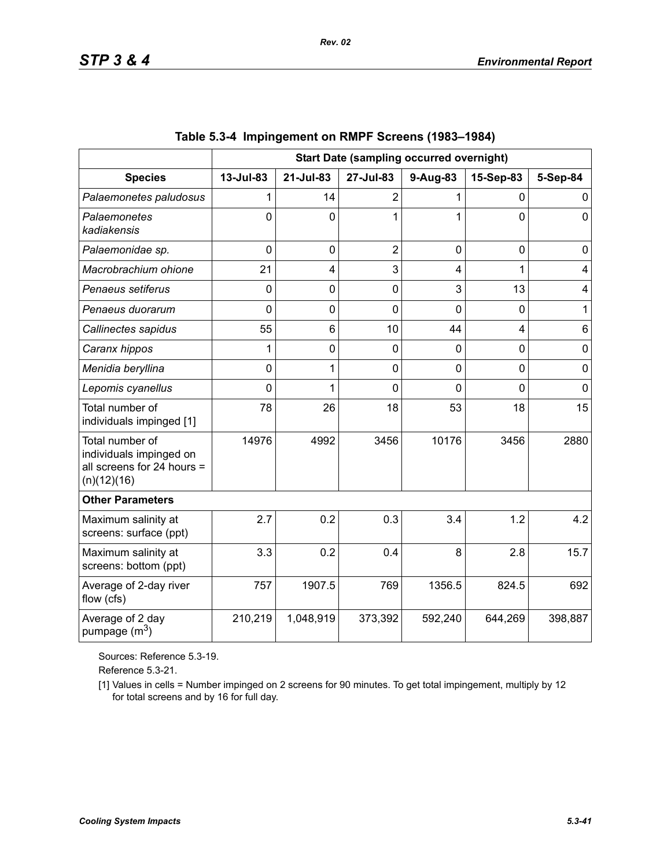|                                                                                         | <b>Start Date (sampling occurred overnight)</b> |                |                |          |                |             |
|-----------------------------------------------------------------------------------------|-------------------------------------------------|----------------|----------------|----------|----------------|-------------|
| <b>Species</b>                                                                          | 13-Jul-83                                       | 21-Jul-83      | 27-Jul-83      | 9-Aug-83 | 15-Sep-83      | 5-Sep-84    |
| Palaemonetes paludosus                                                                  |                                                 | 14             | $\overline{2}$ | 1        | $\Omega$       | 0           |
| Palaemonetes<br>kadiakensis                                                             | $\Omega$                                        | $\Omega$       | 1              | 1        | $\overline{0}$ | $\mathbf 0$ |
| Palaemonidae sp.                                                                        | $\mathbf 0$                                     | $\mathbf 0$    | $\overline{2}$ | 0        | $\mathbf 0$    | 0           |
| Macrobrachium ohione                                                                    | 21                                              | 4              | 3              | 4        | 1              | 4           |
| Penaeus setiferus                                                                       | $\Omega$                                        | $\overline{0}$ | $\mathbf 0$    | 3        | 13             | 4           |
| Penaeus duorarum                                                                        | 0                                               | 0              | $\overline{0}$ | 0        | $\overline{0}$ | 1           |
| Callinectes sapidus                                                                     | 55                                              | 6              | 10             | 44       | $\overline{4}$ | 6           |
| Caranx hippos                                                                           | 1                                               | 0              | 0              | 0        | $\overline{0}$ | $\mathbf 0$ |
| Menidia beryllina                                                                       | 0                                               | 1              | $\mathbf 0$    | 0        | $\mathbf 0$    | $\mathbf 0$ |
| Lepomis cyanellus                                                                       | 0                                               | 1              | 0              | 0        | $\overline{0}$ | $\mathbf 0$ |
| Total number of<br>individuals impinged [1]                                             | 78                                              | 26             | 18             | 53       | 18             | 15          |
| Total number of<br>individuals impinged on<br>all screens for 24 hours =<br>(n)(12)(16) | 14976                                           | 4992           | 3456           | 10176    | 3456           | 2880        |
| <b>Other Parameters</b>                                                                 |                                                 |                |                |          |                |             |
| Maximum salinity at<br>screens: surface (ppt)                                           | 2.7                                             | 0.2            | 0.3            | 3.4      | 1.2            | 4.2         |
| Maximum salinity at<br>screens: bottom (ppt)                                            | 3.3                                             | 0.2            | 0.4            | 8        | 2.8            | 15.7        |
| Average of 2-day river<br>flow (cfs)                                                    | 757                                             | 1907.5         | 769            | 1356.5   | 824.5          | 692         |
| Average of 2 day<br>pumpage (m <sup>3</sup> )                                           | 210,219                                         | 1,048,919      | 373,392        | 592,240  | 644,269        | 398,887     |

|  | Table 5.3-4 Impingement on RMPF Screens (1983–1984) |  |  |  |
|--|-----------------------------------------------------|--|--|--|
|--|-----------------------------------------------------|--|--|--|

Sources: Reference 5.3-19.

Reference 5.3-21.

[1] Values in cells = Number impinged on 2 screens for 90 minutes. To get total impingement, multiply by 12 for total screens and by 16 for full day.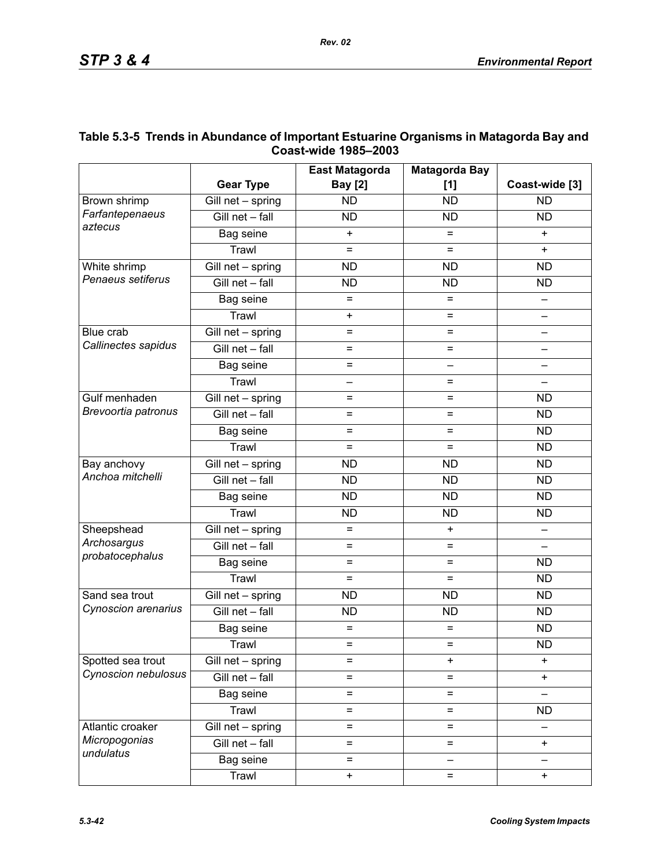|                                                |                                 | <b>East Matagorda</b>    | <b>Matagorda Bay</b>     |                          |
|------------------------------------------------|---------------------------------|--------------------------|--------------------------|--------------------------|
|                                                | <b>Gear Type</b>                | <b>Bay [2]</b>           | [1]                      | Coast-wide [3]           |
| Brown shrimp<br>Farfantepenaeus<br>aztecus     | Gill net - spring               | <b>ND</b>                | <b>ND</b>                | <b>ND</b>                |
|                                                | Gill net - fall                 | <b>ND</b>                | <b>ND</b>                | <b>ND</b>                |
|                                                | Bag seine                       | $\ddot{}$                | $=$                      | $+$                      |
|                                                | Trawl                           | $=$                      | $=$                      | $\ddot{}$                |
| White shrimp<br>Penaeus setiferus              | $\overline{G}$ ill net - spring | <b>ND</b>                | <b>ND</b>                | <b>ND</b>                |
|                                                | Gill net - fall                 | <b>ND</b>                | <b>ND</b>                | <b>ND</b>                |
|                                                | Bag seine                       | $=$                      | $=$                      |                          |
|                                                | Trawl                           | $\ddot{}$                | $=$                      | $\overline{\phantom{0}}$ |
| Blue crab<br>Callinectes sapidus               | $\overline{G}$ ill net - spring | $=$                      | =                        |                          |
|                                                | Gill net - fall                 | $=$                      | $=$                      |                          |
|                                                | Bag seine                       | $=$                      | $\overline{\phantom{0}}$ |                          |
|                                                | Trawl                           | $\overline{\phantom{0}}$ | $=$                      | $\qquad \qquad -$        |
| Gulf menhaden                                  | Gill net - spring               | $=$                      | =                        | <b>ND</b>                |
| Brevoortia patronus                            | Gill net - fall                 | $=$                      | $=$                      | <b>ND</b>                |
|                                                | Bag seine                       | $=$                      | $=$                      | <b>ND</b>                |
|                                                | Trawl                           | $=$                      | $=$                      | <b>ND</b>                |
| Bay anchovy<br>Anchoa mitchelli                | $\overline{G}$ ill net - spring | <b>ND</b>                | <b>ND</b>                | <b>ND</b>                |
|                                                | Gill net - fall                 | <b>ND</b>                | <b>ND</b>                | <b>ND</b>                |
|                                                | Bag seine                       | <b>ND</b>                | <b>ND</b>                | <b>ND</b>                |
|                                                | Trawl                           | <b>ND</b>                | <b>ND</b>                | <b>ND</b>                |
| Sheepshead<br>Archosargus<br>probatocephalus   | Gill net - spring               | $=$                      | $\ddot{}$                |                          |
|                                                | Gill net - fall                 | $=$                      | $=$                      |                          |
|                                                | Bag seine                       | $=$                      | $=$                      | <b>ND</b>                |
|                                                | Trawl                           | $=$                      | $=$                      | <b>ND</b>                |
| Sand sea trout<br>Cynoscion arenarius          | Gill net - spring               | <b>ND</b>                | <b>ND</b>                | <b>ND</b>                |
|                                                | Gill net - fall                 | <b>ND</b>                | <b>ND</b>                | <b>ND</b>                |
|                                                | Bag seine                       | $=$                      | $=$                      | <b>ND</b>                |
|                                                | Trawl                           | $=$                      | $=$                      | <b>ND</b>                |
| Spotted sea trout<br>Cynoscion nebulosus       | Gill net - spring               | $=$                      | $\ddot{}$                | $\ddot{}$                |
|                                                | Gill net - fall                 | $=$                      | $=$                      | $\ddot{}$                |
|                                                | Bag seine                       | $=$                      | $=$                      |                          |
|                                                | Trawl                           | $=$                      | $=$                      | <b>ND</b>                |
| Atlantic croaker<br>Micropogonias<br>undulatus | Gill net - spring               | $=$                      | $=$                      |                          |
|                                                | Gill net - fall                 | $=$                      | $=$                      | $\ddot{}$                |
|                                                | Bag seine                       | $=$                      | $\overline{\phantom{0}}$ |                          |
|                                                | Trawl                           | $\pmb{+}$                | $=$                      | $\ddot{}$                |

## **Table 5.3-5 Trends in Abundance of Important Estuarine Organisms in Matagorda Bay and Coast-wide 1985–2003**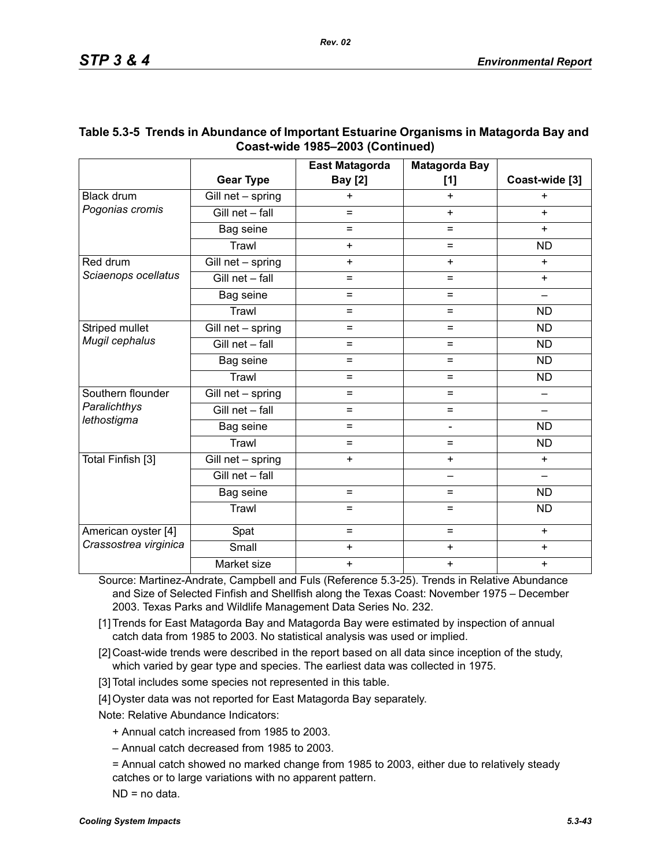|                                                  |                   | <b>East Matagorda</b> | <b>Matagorda Bay</b> |                          |
|--------------------------------------------------|-------------------|-----------------------|----------------------|--------------------------|
|                                                  | <b>Gear Type</b>  | <b>Bay</b> [2]        | [1]                  | Coast-wide [3]           |
| <b>Black drum</b><br>Pogonias cromis             | Gill net - spring | $\ddot{}$             | $\ddot{}$            | $\ddot{}$                |
|                                                  | Gill net - fall   | $=$                   | $+$                  | $+$                      |
|                                                  | Bag seine         | =                     | $=$                  | $+$                      |
|                                                  | Trawl             | $+$                   | $=$                  | <b>ND</b>                |
| Red drum<br>Sciaenops ocellatus                  | Gill net - spring | $+$                   | $\ddot{}$            | $+$                      |
|                                                  | Gill net - fall   | $=$                   | $=$                  | $+$                      |
|                                                  | Bag seine         | $=$                   | $=$                  |                          |
|                                                  | Trawl             | $=$                   | $=$                  | <b>ND</b>                |
| Striped mullet<br>Mugil cephalus                 | Gill net - spring | $=$                   | $\equiv$             | <b>ND</b>                |
|                                                  | Gill net - fall   | $=$                   | $=$                  | <b>ND</b>                |
|                                                  | Bag seine         | $=$                   | $=$                  | <b>ND</b>                |
|                                                  | Trawl             | $=$                   | $=$                  | <b>ND</b>                |
| Southern flounder<br>Paralichthys<br>lethostigma | Gill net - spring | $=$                   | $\equiv$             |                          |
|                                                  | Gill net - fall   | $=$                   | $\equiv$             |                          |
|                                                  | Bag seine         | $=$                   | ÷,                   | <b>ND</b>                |
|                                                  | Trawl             | $=$                   | $\equiv$             | <b>ND</b>                |
| Total Finfish [3]                                | Gill net - spring | $+$                   | $+$                  | $+$                      |
|                                                  | Gill net - fall   |                       | —                    | $\overline{\phantom{0}}$ |
|                                                  | Bag seine         | $=$                   | $=$                  | ND                       |
|                                                  | Trawl             | $=$                   | $=$                  | <b>ND</b>                |
| American oyster [4]                              | Spat              | $=$                   | $=$                  | $+$                      |
| Crassostrea virginica                            | Small             | $\ddot{}$             | $\ddot{}$            | $\ddot{}$                |
|                                                  | Market size       | $\ddot{}$             | $\ddot{}$            | $\ddot{}$                |

## **Table 5.3-5 Trends in Abundance of Important Estuarine Organisms in Matagorda Bay and Coast-wide 1985–2003 (Continued)**

Source: Martinez-Andrate, Campbell and Fuls (Reference 5.3-25). Trends in Relative Abundance and Size of Selected Finfish and Shellfish along the Texas Coast: November 1975 – December 2003. Texas Parks and Wildlife Management Data Series No. 232.

- [1] Trends for East Matagorda Bay and Matagorda Bay were estimated by inspection of annual catch data from 1985 to 2003. No statistical analysis was used or implied.
- [2] Coast-wide trends were described in the report based on all data since inception of the study, which varied by gear type and species. The earliest data was collected in 1975.
- [3] Total includes some species not represented in this table.
- [4] Oyster data was not reported for East Matagorda Bay separately.

Note: Relative Abundance Indicators:

- + Annual catch increased from 1985 to 2003.
- Annual catch decreased from 1985 to 2003.
- = Annual catch showed no marked change from 1985 to 2003, either due to relatively steady catches or to large variations with no apparent pattern.
- ND = no data.